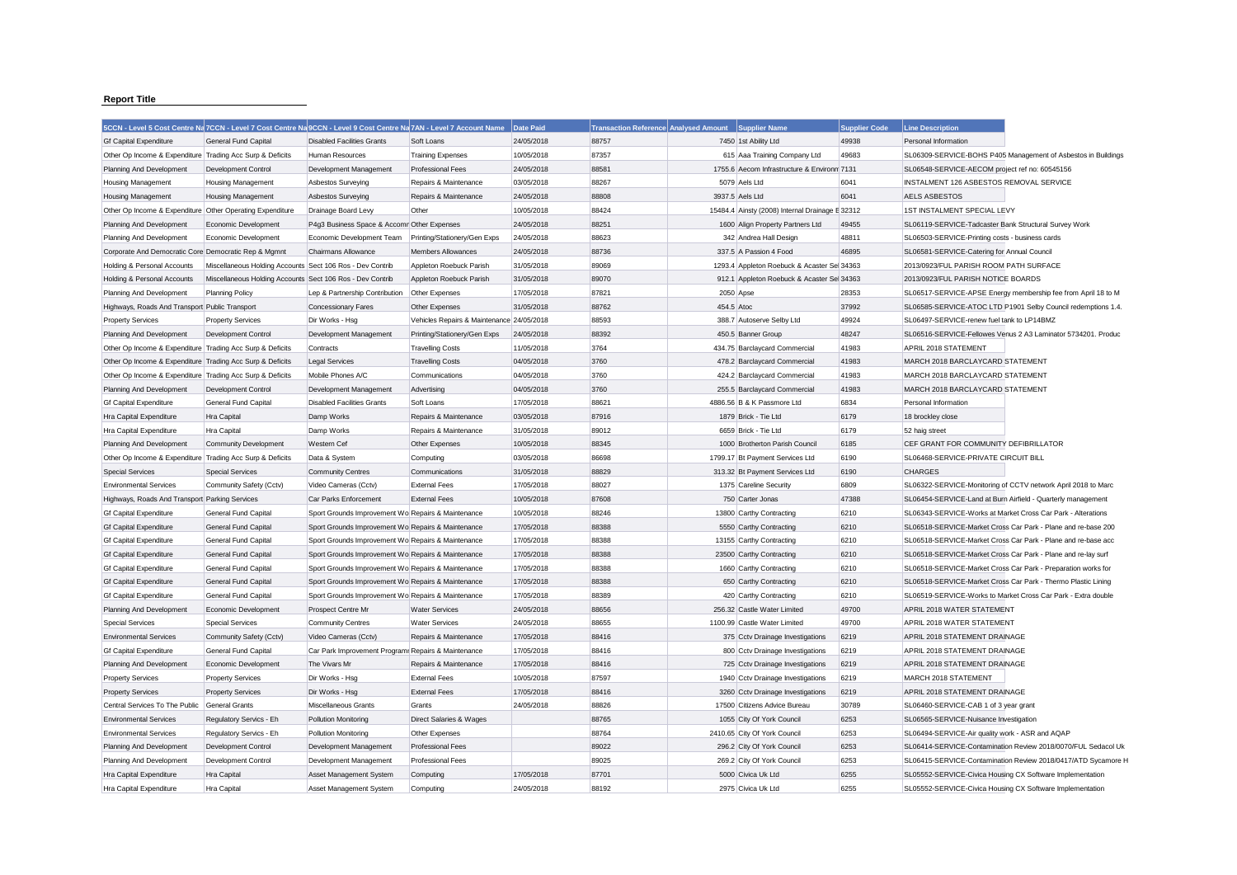## **Report Title**

|                                                           |                                                           | 5CCN - Level 5 Cost Centre Na 7CCN - Level 7 Cost Centre Na 9CCN - Level 9 Cost Centre Na 7AN - Level 7 Account Name |                                           | Date Paid  |       | Transaction Reference Analysed Amount Supplier Name | <b>Supplier Code</b> | <b>Line Description</b>                                       |
|-----------------------------------------------------------|-----------------------------------------------------------|----------------------------------------------------------------------------------------------------------------------|-------------------------------------------|------------|-------|-----------------------------------------------------|----------------------|---------------------------------------------------------------|
| <b>Gf Capital Expenditure</b>                             | <b>General Fund Capital</b>                               | <b>Disabled Facilities Grants</b>                                                                                    | Soft Loans                                | 24/05/2018 | 88757 | 7450 1st Ability Ltd                                | 49938                | Personal Information                                          |
| Other Op Income & Expenditure Trading Acc Surp & Deficits |                                                           | Human Resources                                                                                                      | <b>Training Expenses</b>                  | 10/05/2018 | 87357 | 615 Aaa Training Company Ltd                        | 49683                | SL06309-SERVICE-BOHS P405 Management of Asbestos in Buildings |
| Planning And Development                                  | Development Control                                       | Development Management                                                                                               | <b>Professional Fees</b>                  | 24/05/2018 | 88581 | 1755.6 Aecom Infrastructure & Environm 7131         |                      | SL06548-SERVICE-AECOM project ref no: 60545156                |
| <b>Housing Management</b>                                 | <b>Housing Management</b>                                 | Asbestos Surveying                                                                                                   | Repairs & Maintenance                     | 03/05/2018 | 88267 | 5079 Aels Ltd                                       | 6041                 | INSTALMENT 126 ASBESTOS REMOVAL SERVICE                       |
| <b>Housing Management</b>                                 | <b>Housing Management</b>                                 | Asbestos Surveying                                                                                                   | Repairs & Maintenance                     | 24/05/2018 | 88808 | 3937.5 Aels Ltd                                     | 6041                 | AELS ASBESTOS                                                 |
| Other Op Income & Expenditure Other Operating Expenditure |                                                           | Drainage Board Levy                                                                                                  | Other                                     | 10/05/2018 | 88424 | 15484.4 Ainsty (2008) Internal Drainage E 32312     |                      | 1ST INSTALMENT SPECIAL LEVY                                   |
| Planning And Development                                  | Economic Development                                      | P4g3 Business Space & Accomr Other Expenses                                                                          |                                           | 24/05/2018 | 88251 | 1600 Align Property Partners Ltd                    | 49455                | SL06119-SERVICE-Tadcaster Bank Structural Survey Work         |
| Planning And Development                                  | Economic Development                                      | Economic Development Team                                                                                            | Printing/Stationery/Gen Exps              | 24/05/2018 | 88623 | 342 Andrea Hall Design                              | 48811                | SL06503-SERVICE-Printing costs - business cards               |
| Corporate And Democratic Core Democratic Rep & Mgmnt      |                                                           | Chairmans Allowance                                                                                                  | <b>Members Allowances</b>                 | 24/05/2018 | 88736 | 337.5 A Passion 4 Food                              | 46895                | SL06581-SERVICE-Catering for Annual Council                   |
| Holding & Personal Accounts                               | Miscellaneous Holding Accounts Sect 106 Ros - Dev Contrib |                                                                                                                      | Appleton Roebuck Parish                   | 31/05/2018 | 89069 | 1293.4 Appleton Roebuck & Acaster Se 34363          |                      | 2013/0923/FUL PARISH ROOM PATH SURFACE                        |
| Holding & Personal Accounts                               | Miscellaneous Holding Accounts Sect 106 Ros - Dev Contrib |                                                                                                                      | Appleton Roebuck Parish                   | 31/05/2018 | 89070 | 912.1 Appleton Roebuck & Acaster Sel 34363          |                      | 2013/0923/FUL PARISH NOTICE BOARDS                            |
| Planning And Development                                  | <b>Planning Policy</b>                                    | Lep & Partnership Contribution                                                                                       | Other Expenses                            | 17/05/2018 | 87821 | 2050 Apse                                           | 28353                | SL06517-SERVICE-APSE Energy membership fee from April 18 to M |
| Highways, Roads And Transport Public Transport            |                                                           | Concessionary Fares                                                                                                  | Other Expenses                            | 31/05/2018 | 88762 | 454.5 Atoc                                          | 37992                | SL06585-SERVICE-ATOC LTD P1901 Selby Council redemptions 1.4. |
| <b>Property Services</b>                                  | <b>Property Services</b>                                  | Dir Works - Hsg                                                                                                      | Vehicles Repairs & Maintenance 24/05/2018 |            | 88593 | 388.7 Autoserve Selby Ltd                           | 49924                | SL06497-SERVICE-renew fuel tank to LP14BMZ                    |
| Planning And Development                                  | Development Control                                       | Development Management                                                                                               | Printing/Stationery/Gen Exps              | 24/05/2018 | 88392 | 450.5 Banner Group                                  | 48247                | SL06516-SERVICE-Fellowes Venus 2 A3 Laminator 5734201. Produc |
| Other Op Income & Expenditure Trading Acc Surp & Deficits |                                                           | Contracts                                                                                                            | <b>Travelling Costs</b>                   | 11/05/2018 | 3764  | 434.75 Barclaycard Commercial                       | 41983                | <b>APRIL 2018 STATEMENT</b>                                   |
| Other Op Income & Expenditure Trading Acc Surp & Deficits |                                                           | <b>Legal Services</b>                                                                                                | <b>Travelling Costs</b>                   | 04/05/2018 | 3760  | 478.2 Barclaycard Commercial                        | 41983                | MARCH 2018 BARCLAYCARD STATEMENT                              |
| Other Op Income & Expenditure Trading Acc Surp & Deficits |                                                           | Mobile Phones A/C                                                                                                    | Communications                            | 04/05/2018 | 3760  | 424.2 Barclaycard Commercial                        | 41983                | MARCH 2018 BARCLAYCARD STATEMENT                              |
| Planning And Development                                  | Development Control                                       | Development Management                                                                                               | Advertising                               | 04/05/2018 | 3760  | 255.5 Barclaycard Commercial                        | 41983                | MARCH 2018 BARCLAYCARD STATEMENT                              |
| <b>Gf Capital Expenditure</b>                             | General Fund Capital                                      | <b>Disabled Facilities Grants</b>                                                                                    | Soft Loans                                | 17/05/2018 | 88621 | 4886.56 B & K Passmore Ltd                          | 6834                 | Personal Information                                          |
| Hra Capital Expenditure                                   | Hra Capital                                               | Damp Works                                                                                                           | Repairs & Maintenance                     | 03/05/2018 | 87916 | 1879 Brick - Tie Ltd                                | 6179                 | 18 brockley close                                             |
| Hra Capital Expenditure                                   | Hra Capital                                               | Damp Works                                                                                                           | Repairs & Maintenance                     | 31/05/2018 | 89012 | 6659 Brick - Tie Ltd                                | 6179                 | 52 haig street                                                |
| Planning And Development                                  | <b>Community Development</b>                              | Western Cef                                                                                                          | Other Expenses                            | 10/05/2018 | 88345 | 1000 Brotherton Parish Council                      | 6185                 | CEF GRANT FOR COMMUNITY DEFIBRILLATOR                         |
| Other Op Income & Expenditure Trading Acc Surp & Deficits |                                                           | Data & System                                                                                                        | Computing                                 | 03/05/2018 | 86698 | 1799.17 Bt Payment Services Ltd                     | 6190                 | SL06468-SERVICE-PRIVATE CIRCUIT BILL                          |
| <b>Special Services</b>                                   | <b>Special Services</b>                                   | <b>Community Centres</b>                                                                                             | Communications                            | 31/05/2018 | 88829 | 313.32 Bt Payment Services Ltd                      | 6190                 | <b>CHARGES</b>                                                |
| <b>Environmental Services</b>                             | Community Safety (Cctv)                                   | Video Cameras (Cctv)                                                                                                 | <b>External Fees</b>                      | 17/05/2018 | 88027 | 1375 Careline Security                              | 6809                 | SL06322-SERVICE-Monitoring of CCTV network April 2018 to Marc |
| Highways, Roads And Transport Parking Services            |                                                           | Car Parks Enforcement                                                                                                | <b>External Fees</b>                      | 10/05/2018 | 87608 | 750 Carter Jonas                                    | 47388                | SL06454-SERVICE-Land at Burn Airfield - Quarterly management  |
| <b>Gf Capital Expenditure</b>                             | General Fund Capital                                      | Sport Grounds Improvement Wo Repairs & Maintenance                                                                   |                                           | 10/05/2018 | 88246 | 13800 Carthy Contracting                            | 6210                 | SL06343-SERVICE-Works at Market Cross Car Park - Alterations  |
| <b>Gf Capital Expenditure</b>                             | General Fund Capital                                      | Sport Grounds Improvement Wo Repairs & Maintenance                                                                   |                                           | 17/05/2018 | 88388 | 5550 Carthy Contracting                             | 6210                 | SL06518-SERVICE-Market Cross Car Park - Plane and re-base 200 |
| <b>Gf Capital Expenditure</b>                             | General Fund Capital                                      | Sport Grounds Improvement Wo Repairs & Maintenance                                                                   |                                           | 17/05/2018 | 88388 | 13155 Carthy Contracting                            | 6210                 | SL06518-SERVICE-Market Cross Car Park - Plane and re-base acc |
| <b>Gf Capital Expenditure</b>                             | General Fund Capital                                      | Sport Grounds Improvement Wo Repairs & Maintenance                                                                   |                                           | 17/05/2018 | 88388 | 23500 Carthy Contracting                            | 6210                 | SL06518-SERVICE-Market Cross Car Park - Plane and re-lay surf |
| <b>Gf Capital Expenditure</b>                             | General Fund Capital                                      | Sport Grounds Improvement Wo Repairs & Maintenance                                                                   |                                           | 17/05/2018 | 88388 | 1660 Carthy Contracting                             | 6210                 | SL06518-SERVICE-Market Cross Car Park - Preparation works for |
| <b>Gf Capital Expenditure</b>                             | <b>General Fund Capital</b>                               | Sport Grounds Improvement Wo Repairs & Maintenance                                                                   |                                           | 17/05/2018 | 88388 | 650 Carthy Contracting                              | 6210                 | SL06518-SERVICE-Market Cross Car Park - Thermo Plastic Lining |
| <b>Gf Capital Expenditure</b>                             | General Fund Capital                                      | Sport Grounds Improvement Wo Repairs & Maintenance                                                                   |                                           | 17/05/2018 | 88389 | 420 Carthy Contracting                              | 6210                 | SL06519-SERVICE-Works to Market Cross Car Park - Extra double |
| Planning And Development                                  | Economic Development                                      | Prospect Centre Mr                                                                                                   | <b>Water Services</b>                     | 24/05/2018 | 88656 | 256.32 Castle Water Limited                         | 49700                | APRIL 2018 WATER STATEMENT                                    |
| <b>Special Services</b>                                   | <b>Special Services</b>                                   | <b>Community Centres</b>                                                                                             | <b>Water Services</b>                     | 24/05/2018 | 88655 | 1100.99 Castle Water Limited                        | 49700                | APRIL 2018 WATER STATEMENT                                    |
| <b>Environmental Services</b>                             | Community Safety (Cctv)                                   | Video Cameras (Cctv)                                                                                                 | Repairs & Maintenance                     | 17/05/2018 | 88416 | 375 Cctv Drainage Investigations                    | 6219                 | APRIL 2018 STATEMENT DRAINAGE                                 |
| <b>Gf Capital Expenditure</b>                             | <b>General Fund Capital</b>                               | Car Park Improvement Program Repairs & Maintenance                                                                   |                                           | 17/05/2018 | 88416 | 800 Cctv Drainage Investigations                    | 6219                 | APRIL 2018 STATEMENT DRAINAGE                                 |
| Planning And Development                                  | Economic Development                                      | The Vivars Mr                                                                                                        | Repairs & Maintenance                     | 17/05/2018 | 88416 | 725 Cctv Drainage Investigations                    | 6219                 | APRIL 2018 STATEMENT DRAINAGE                                 |
| <b>Property Services</b>                                  | <b>Property Services</b>                                  | Dir Works - Hsg                                                                                                      | <b>External Fees</b>                      | 10/05/2018 | 87597 | 1940 Cctv Drainage Investigations                   | 6219                 | MARCH 2018 STATEMENT                                          |
| <b>Property Services</b>                                  | <b>Property Services</b>                                  | Dir Works - Hsg                                                                                                      | <b>External Fees</b>                      | 17/05/2018 | 88416 | 3260 Cctv Drainage Investigations                   | 6219                 | APRIL 2018 STATEMENT DRAINAGE                                 |
| Central Services To The Public                            | General Grants                                            | Miscellaneous Grants                                                                                                 | Grants                                    | 24/05/2018 | 88826 | 17500 Citizens Advice Bureau                        | 30789                | SL06460-SERVICE-CAB 1 of 3 year grant                         |
| <b>Environmental Services</b>                             | Regulatory Servics - Eh                                   | Pollution Monitoring                                                                                                 | Direct Salaries & Wages                   |            | 88765 | 1055 City Of York Council                           | 6253                 | SL06565-SERVICE-Nuisance Investigation                        |
| <b>Environmental Services</b>                             | Regulatory Servics - Eh                                   | Pollution Monitoring                                                                                                 | Other Expenses                            |            | 88764 | 2410.65 City Of York Council                        | 6253                 | SL06494-SERVICE-Air quality work - ASR and AQAP               |
| Planning And Development                                  | Development Control                                       | Development Management                                                                                               | <b>Professional Fees</b>                  |            | 89022 | 296.2 City Of York Council                          | 6253                 | SL06414-SERVICE-Contamination Review 2018/0070/FUL Sedacol Uk |
| Planning And Development                                  | Development Control                                       | Development Management                                                                                               | <b>Professional Fees</b>                  |            | 89025 | 269.2 City Of York Council                          | 6253                 | SL06415-SERVICE-Contamination Review 2018/0417/ATD Sycamore H |
| Hra Capital Expenditure                                   | Hra Capital                                               | Asset Management System                                                                                              | Computing                                 | 17/05/2018 | 87701 | 5000 Civica Uk Ltd                                  | 6255                 | SL05552-SERVICE-Civica Housing CX Software Implementation     |
| Hra Capital Expenditure                                   | Hra Capital                                               | Asset Management System                                                                                              | Computing                                 | 24/05/2018 | 88192 | 2975 Civica Uk Ltd                                  | 6255                 | SL05552-SERVICE-Civica Housing CX Software Implementation     |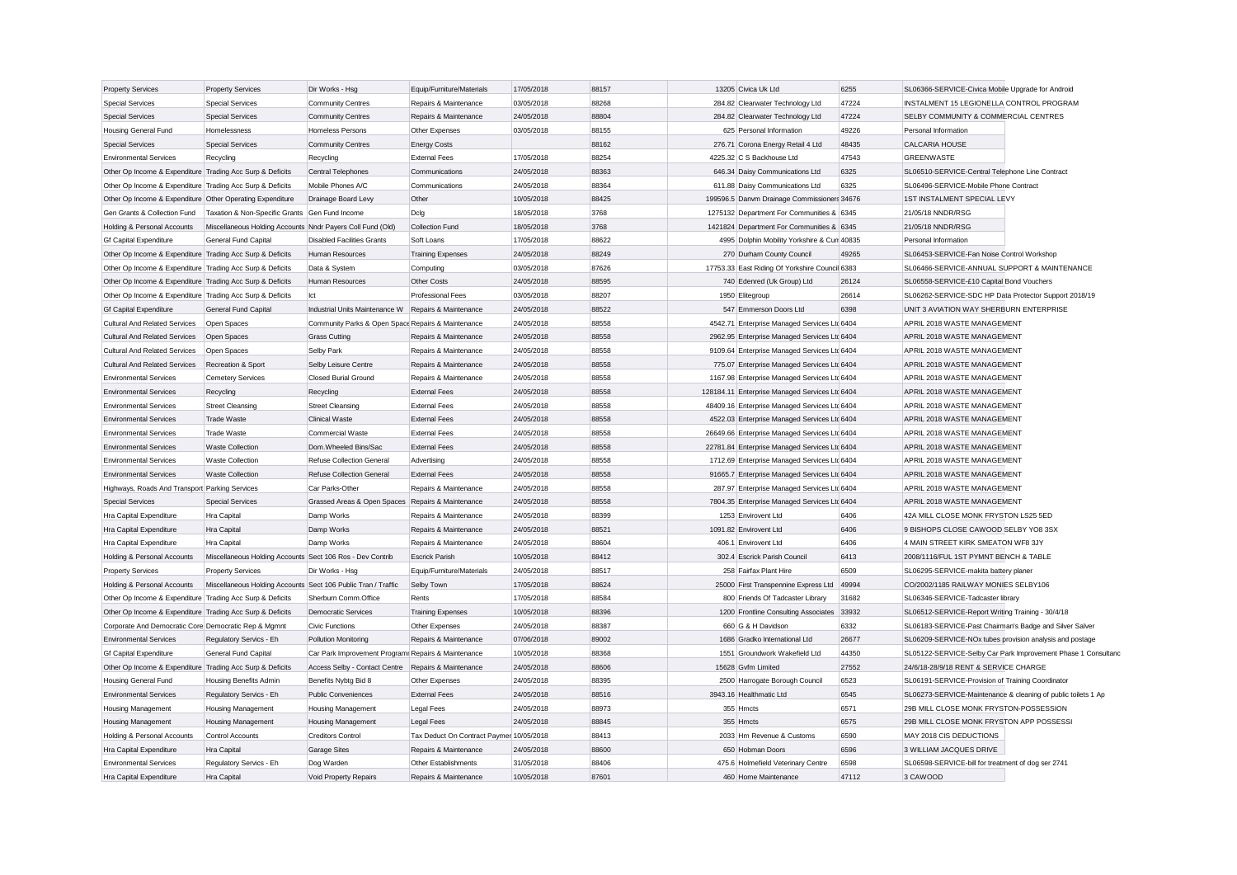| <b>Property Services</b>                                  | <b>Property Services</b>                                      | Dir Works - Hsg                                      | Equip/Furniture/Materials                | 17/05/2018 | 88157 | 13205 Civica Uk Ltd                            | 6255  | SL06366-SERVICE-Civica Mobile Upgrade for Android             |                                                               |
|-----------------------------------------------------------|---------------------------------------------------------------|------------------------------------------------------|------------------------------------------|------------|-------|------------------------------------------------|-------|---------------------------------------------------------------|---------------------------------------------------------------|
| <b>Special Services</b>                                   | <b>Special Services</b>                                       | <b>Community Centres</b>                             | Repairs & Maintenance                    | 03/05/2018 | 88268 | 284.82 Clearwater Technology Ltd               | 47224 | INSTALMENT 15 LEGIONELLA CONTROL PROGRAM                      |                                                               |
| <b>Special Services</b>                                   | <b>Special Services</b>                                       | <b>Community Centres</b>                             | Repairs & Maintenance                    | 24/05/2018 | 88804 | 284.82 Clearwater Technology Ltd               | 47224 | <b>SELBY COMMUNITY &amp; COMMERCIAL CENTRES</b>               |                                                               |
| <b>Housing General Fund</b>                               | Homelessness                                                  | <b>Homeless Persons</b>                              | Other Expenses                           | 03/05/2018 | 88155 | 625 Personal Information                       | 49226 | Personal Information                                          |                                                               |
| <b>Special Services</b>                                   | <b>Special Services</b>                                       | <b>Community Centres</b>                             | <b>Energy Costs</b>                      |            | 88162 | 276.71 Corona Energy Retail 4 Ltd              | 48435 | <b>CALCARIA HOUSE</b>                                         |                                                               |
| <b>Environmental Services</b>                             | Recycling                                                     | Recycling                                            | <b>External Fees</b>                     | 17/05/2018 | 88254 | 4225.32 C S Backhouse Ltd                      | 47543 | <b>GREENWASTE</b>                                             |                                                               |
| Other Op Income & Expenditure Trading Acc Surp & Deficits |                                                               | Central Telephones                                   | Communications                           | 24/05/2018 | 88363 | 646.34 Daisy Communications Ltd                | 6325  | SL06510-SERVICE-Central Telephone Line Contract               |                                                               |
| Other Op Income & Expenditure Trading Acc Surp & Deficits |                                                               | Mobile Phones A/C                                    | Communications                           | 24/05/2018 | 88364 | 611.88 Daisy Communications Ltd                | 6325  | SL06496-SERVICE-Mobile Phone Contract                         |                                                               |
| Other Op Income & Expenditure Other Operating Expenditure |                                                               | Drainage Board Levy                                  | Other                                    | 10/05/2018 | 88425 | 199596.5 Danvm Drainage Commissioners 34676    |       | 1ST INSTALMENT SPECIAL LEVY                                   |                                                               |
| Gen Grants & Collection Fund                              | Taxation & Non-Specific Grants Gen Fund Income                |                                                      | Dclg                                     | 18/05/2018 | 3768  | 1275132 Department For Communities & 6345      |       | 21/05/18 NNDR/RSG                                             |                                                               |
| Holding & Personal Accounts                               | Miscellaneous Holding Accounts Nndr Payers Coll Fund (Old)    |                                                      | <b>Collection Fund</b>                   | 18/05/2018 | 3768  | 1421824 Department For Communities & 6345      |       | 21/05/18 NNDR/RSG                                             |                                                               |
| <b>Gf Capital Expenditure</b>                             | General Fund Capital                                          | <b>Disabled Facilities Grants</b>                    | Soft Loans                               | 17/05/2018 | 88622 | 4995 Dolphin Mobility Yorkshire & Cun 40835    |       | Personal Information                                          |                                                               |
| Other Op Income & Expenditure Trading Acc Surp & Deficits |                                                               | Human Resources                                      | <b>Training Expenses</b>                 | 24/05/2018 | 88249 | 270 Durham County Council                      | 49265 | SL06453-SERVICE-Fan Noise Control Workshop                    |                                                               |
| Other Op Income & Expenditure Trading Acc Surp & Deficits |                                                               | Data & System                                        | Computing                                | 03/05/2018 | 87626 | 17753.33 East Riding Of Yorkshire Council 6383 |       | SL06466-SERVICE-ANNUAL SUPPORT & MAINTENANCE                  |                                                               |
| Other Op Income & Expenditure Trading Acc Surp & Deficits |                                                               | Human Resources                                      | Other Costs                              | 24/05/2018 | 88595 | 740 Edenred (Uk Group) Ltd                     | 26124 | SL06558-SERVICE-£10 Capital Bond Vouchers                     |                                                               |
| Other Op Income & Expenditure Trading Acc Surp & Deficits |                                                               | lct                                                  | <b>Professional Fees</b>                 | 03/05/2018 | 88207 | 1950 Elitegroup                                | 26614 | SL06262-SERVICE-SDC HP Data Protector Support 2018/19         |                                                               |
| <b>Gf Capital Expenditure</b>                             | <b>General Fund Capital</b>                                   | Industrial Units Maintenance W Repairs & Maintenance |                                          | 24/05/2018 | 88522 | 547 Emmerson Doors Ltd                         | 6398  | UNIT 3 AVIATION WAY SHERBURN ENTERPRISE                       |                                                               |
| <b>Cultural And Related Services</b>                      | Open Spaces                                                   | Community Parks & Open Space Repairs & Maintenance   |                                          | 24/05/2018 | 88558 | 4542.71 Enterprise Managed Services Ltd 6404   |       | APRIL 2018 WASTE MANAGEMENT                                   |                                                               |
| <b>Cultural And Related Services</b>                      | Open Spaces                                                   | <b>Grass Cutting</b>                                 | Repairs & Maintenance                    | 24/05/2018 | 88558 | 2962.95 Enterprise Managed Services Ltd 6404   |       | APRIL 2018 WASTE MANAGEMENT                                   |                                                               |
| <b>Cultural And Related Services</b>                      | Open Spaces                                                   | <b>Selby Park</b>                                    | Repairs & Maintenance                    | 24/05/2018 | 88558 | 9109.64 Enterprise Managed Services Ltd 6404   |       | APRIL 2018 WASTE MANAGEMENT                                   |                                                               |
| <b>Cultural And Related Services</b>                      | Recreation & Sport                                            | Selby Leisure Centre                                 | Repairs & Maintenance                    | 24/05/2018 | 88558 | 775.07 Enterprise Managed Services Ltd 6404    |       | APRIL 2018 WASTE MANAGEMENT                                   |                                                               |
| <b>Environmental Services</b>                             | <b>Cemetery Services</b>                                      | Closed Burial Ground                                 | Repairs & Maintenance                    | 24/05/2018 | 88558 | 1167.98 Enterprise Managed Services Ltd 6404   |       | APRIL 2018 WASTE MANAGEMENT                                   |                                                               |
| <b>Environmental Services</b>                             | Recycling                                                     | Recycling                                            | <b>External Fees</b>                     | 24/05/2018 | 88558 | 128184.11 Enterprise Managed Services Ltd 6404 |       | APRIL 2018 WASTE MANAGEMENT                                   |                                                               |
| <b>Environmental Services</b>                             | <b>Street Cleansing</b>                                       | <b>Street Cleansing</b>                              | <b>External Fees</b>                     | 24/05/2018 | 88558 | 48409.16 Enterprise Managed Services Ltd 6404  |       | APRIL 2018 WASTE MANAGEMENT                                   |                                                               |
| <b>Environmental Services</b>                             | <b>Trade Waste</b>                                            | <b>Clinical Waste</b>                                | <b>External Fees</b>                     | 24/05/2018 | 88558 | 4522.03 Enterprise Managed Services Ltc 6404   |       | APRIL 2018 WASTE MANAGEMENT                                   |                                                               |
| <b>Environmental Services</b>                             | <b>Trade Waste</b>                                            | Commercial Waste                                     | <b>External Fees</b>                     | 24/05/2018 | 88558 | 26649.66 Enterprise Managed Services Ltd 6404  |       | APRIL 2018 WASTE MANAGEMENT                                   |                                                               |
| <b>Environmental Services</b>                             | <b>Waste Collection</b>                                       | Dom.Wheeled Bins/Sac                                 | <b>External Fees</b>                     | 24/05/2018 | 88558 | 22781.84 Enterprise Managed Services Ltd 6404  |       | APRIL 2018 WASTE MANAGEMENT                                   |                                                               |
| <b>Environmental Services</b>                             | <b>Waste Collection</b>                                       | Refuse Collection General                            | Advertising                              | 24/05/2018 | 88558 | 1712.69 Enterprise Managed Services Ltd 6404   |       | APRIL 2018 WASTE MANAGEMENT                                   |                                                               |
| <b>Environmental Services</b>                             | <b>Waste Collection</b>                                       | Refuse Collection General                            | <b>External Fees</b>                     | 24/05/2018 | 88558 | 91665.7 Enterprise Managed Services Ltc 6404   |       | APRIL 2018 WASTE MANAGEMENT                                   |                                                               |
| Highways, Roads And Transport Parking Services            |                                                               | Car Parks-Other                                      | Repairs & Maintenance                    | 24/05/2018 | 88558 | 287.97 Enterprise Managed Services Ltd 6404    |       | APRIL 2018 WASTE MANAGEMENT                                   |                                                               |
| <b>Special Services</b>                                   | <b>Special Services</b>                                       | Grassed Areas & Open Spaces Repairs & Maintenance    |                                          | 24/05/2018 | 88558 | 7804.35 Enterprise Managed Services Ltd 6404   |       | APRIL 2018 WASTE MANAGEMENT                                   |                                                               |
| Hra Capital Expenditure                                   | <b>Hra Capital</b>                                            | Damp Works                                           | Repairs & Maintenance                    | 24/05/2018 | 88399 | 1253 Envirovent Ltd                            | 6406  | 42A MILL CLOSE MONK FRYSTON LS25 5ED                          |                                                               |
| Hra Capital Expenditure                                   | Hra Capital                                                   | Damp Works                                           | Repairs & Maintenance                    | 24/05/2018 | 88521 | 1091.82 Envirovent Ltd                         | 6406  | 9 BISHOPS CLOSE CAWOOD SELBY YO8 3SX                          |                                                               |
| Hra Capital Expenditure                                   | <b>Hra Capital</b>                                            | Damp Works                                           | Repairs & Maintenance                    | 24/05/2018 | 88604 | 406.1 Envirovent Ltd                           | 6406  | 4 MAIN STREET KIRK SMEATON WF8 3JY                            |                                                               |
| Holding & Personal Accounts                               | Miscellaneous Holding Accounts Sect 106 Ros - Dev Contrib     |                                                      | <b>Escrick Parish</b>                    | 10/05/2018 | 88412 | 302.4 Escrick Parish Council                   | 6413  | 2008/1116/FUL 1ST PYMNT BENCH & TABLE                         |                                                               |
| <b>Property Services</b>                                  | <b>Property Services</b>                                      | Dir Works - Hsg                                      | Equip/Furniture/Materials                | 24/05/2018 | 88517 | 258 Fairfax Plant Hire                         | 6509  | SL06295-SERVICE-makita battery planer                         |                                                               |
| Holding & Personal Accounts                               | Miscellaneous Holding Accounts Sect 106 Public Tran / Traffic |                                                      | Selby Town                               | 17/05/2018 | 88624 | 25000 First Transpennine Express Ltd           | 49994 | CO/2002/1185 RAILWAY MONIES SELBY106                          |                                                               |
| Other Op Income & Expenditure Trading Acc Surp & Deficits |                                                               | Sherburn Comm.Office                                 | Rents                                    | 17/05/2018 | 88584 | 800 Friends Of Tadcaster Library               | 31682 | SL06346-SERVICE-Tadcaster library                             |                                                               |
| Other Op Income & Expenditure Trading Acc Surp & Deficits |                                                               | Democratic Services                                  | <b>Training Expenses</b>                 | 10/05/2018 | 88396 | 1200 Frontline Consulting Associates 33932     |       | SL06512-SERVICE-Report Writing Training - 30/4/18             |                                                               |
| Corporate And Democratic Core Democratic Rep & Mgmnt      |                                                               | <b>Civic Functions</b>                               | Other Expenses                           | 24/05/2018 | 88387 | 660 G & H Davidson                             | 6332  | SL06183-SERVICE-Past Chairman's Badge and Silver Salver       |                                                               |
| <b>Environmental Services</b>                             | Regulatory Servics - Eh                                       | Pollution Monitoring                                 | Repairs & Maintenance                    | 07/06/2018 | 89002 | 1686 Gradko International Ltd                  | 26677 | SL06209-SERVICE-NOx tubes provision analysis and postage      |                                                               |
| <b>Gf Capital Expenditure</b>                             | General Fund Capital                                          | Car Park Improvement Program: Repairs & Maintenance  |                                          | 10/05/2018 | 88368 | 1551 Groundwork Wakefield Ltd                  | 44350 |                                                               | SL05122-SERVICE-Selby Car Park Improvement Phase 1 Consultand |
| Other Op Income & Expenditure Trading Acc Surp & Deficits |                                                               | Access Selby - Contact Centre                        | Repairs & Maintenance                    | 24/05/2018 | 88606 | 15628 Gvfm Limited                             | 27552 | 24/6/18-28/9/18 RENT & SERVICE CHARGE                         |                                                               |
| Housing General Fund                                      | Housing Benefits Admin                                        | Benefits Nybtg Bid 8                                 | Other Expenses                           | 24/05/2018 | 88395 | 2500 Harrogate Borough Council                 | 6523  | SL06191-SERVICE-Provision of Training Coordinator             |                                                               |
| <b>Environmental Services</b>                             | Regulatory Servics - Eh                                       | <b>Public Conveniences</b>                           | <b>External Fees</b>                     | 24/05/2018 | 88516 | 3943.16 Healthmatic Ltd                        | 6545  | SL06273-SERVICE-Maintenance & cleaning of public toilets 1 Ap |                                                               |
| Housing Management                                        | Housing Management                                            | Housing Management                                   | <b>Legal Fees</b>                        | 24/05/2018 | 88973 | 355 Hmcts                                      | 6571  | 29B MILL CLOSE MONK FRYSTON-POSSESSION                        |                                                               |
| <b>Housing Management</b>                                 | <b>Housing Management</b>                                     | <b>Housing Management</b>                            | <b>Legal Fees</b>                        | 24/05/2018 | 88845 | 355 Hmcts                                      | 6575  | 29B MILL CLOSE MONK FRYSTON APP POSSESSI                      |                                                               |
| Holding & Personal Accounts                               | Control Accounts                                              | <b>Creditors Control</b>                             | Tax Deduct On Contract Paymer 10/05/2018 |            | 88413 | 2033 Hm Revenue & Customs                      | 6590  | MAY 2018 CIS DEDUCTIONS                                       |                                                               |
| Hra Capital Expenditure                                   | Hra Capital                                                   | <b>Garage Sites</b>                                  | Repairs & Maintenance                    | 24/05/2018 | 88600 | 650 Hobman Doors                               | 6596  | 3 WILLIAM JACQUES DRIVE                                       |                                                               |
| <b>Environmental Services</b>                             | Regulatory Servics - Eh                                       | Dog Warden                                           | Other Establishments                     | 31/05/2018 | 88406 | 475.6 Holmefield Veterinary Centre             | 6598  | SL06598-SERVICE-bill for treatment of dog ser 2741            |                                                               |
| Hra Capital Expenditure                                   | Hra Capital                                                   | Void Property Repairs                                | Repairs & Maintenance                    | 10/05/2018 | 87601 | 460 Home Maintenance                           | 47112 | 3 CAWOOD                                                      |                                                               |
|                                                           |                                                               |                                                      |                                          |            |       |                                                |       |                                                               |                                                               |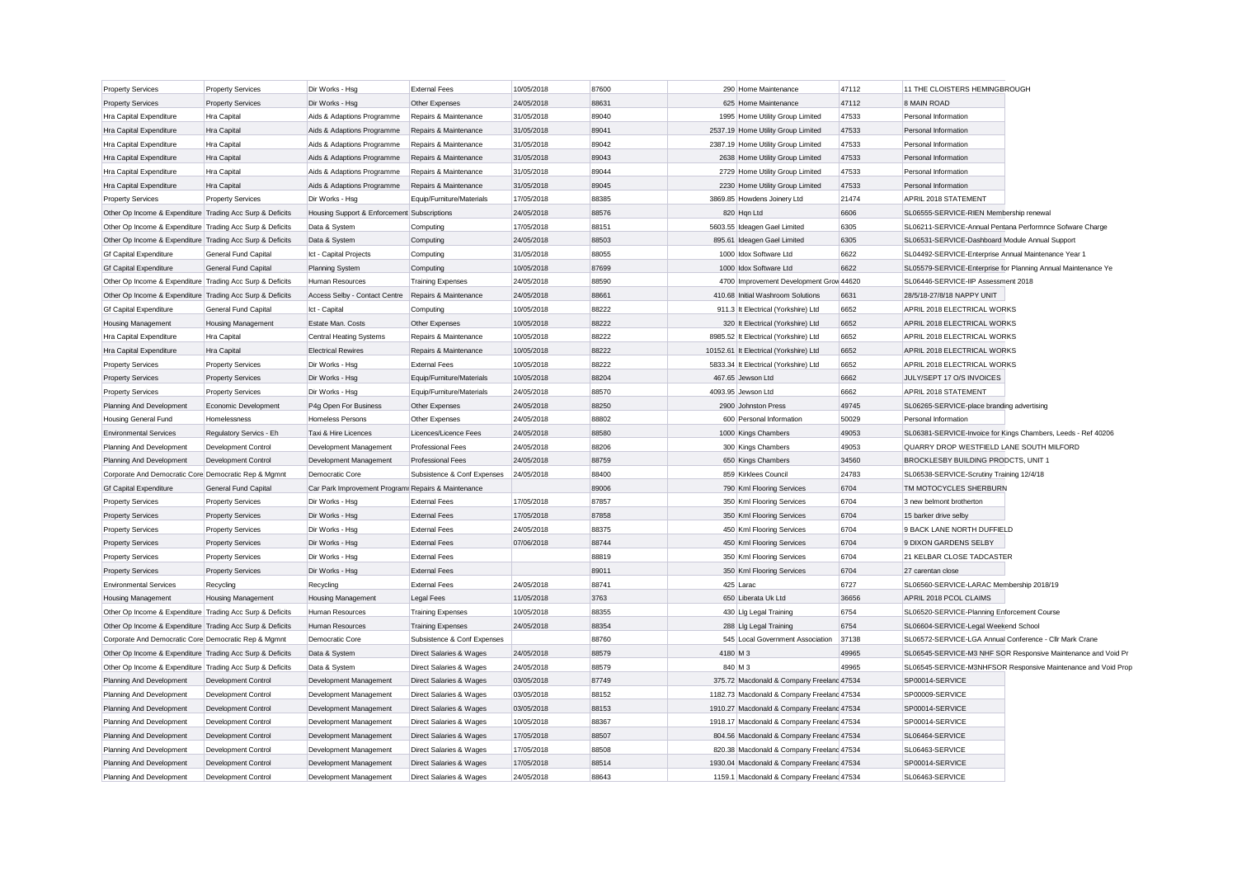| <b>Property Services</b>                                                                                          | <b>Property Services</b> | Dir Works - Hsg                                     | <b>External Fees</b>                         | 10/05/2018 | 87600 |          | 290 Home Maintenance                                       | 47112 | 11 THE CLOISTERS HEMINGBROUGH                                                                   |
|-------------------------------------------------------------------------------------------------------------------|--------------------------|-----------------------------------------------------|----------------------------------------------|------------|-------|----------|------------------------------------------------------------|-------|-------------------------------------------------------------------------------------------------|
| <b>Property Services</b>                                                                                          | <b>Property Services</b> | Dir Works - Hsg                                     | Other Expenses                               | 24/05/2018 | 88631 |          | 625 Home Maintenance                                       | 47112 | 8 MAIN ROAD                                                                                     |
| Hra Capital Expenditure                                                                                           | Hra Capital              | Aids & Adaptions Programme                          | Repairs & Maintenance                        | 31/05/2018 | 89040 |          | 1995 Home Utility Group Limited                            | 47533 | Personal Information                                                                            |
| Hra Capital Expenditure                                                                                           | Hra Capital              | Aids & Adaptions Programme                          | Repairs & Maintenance                        | 31/05/2018 | 89041 |          | 2537.19 Home Utility Group Limited                         | 47533 | Personal Information                                                                            |
| Hra Capital Expenditure                                                                                           | Hra Capital              | Aids & Adaptions Programme                          | Repairs & Maintenance                        | 31/05/2018 | 89042 |          | 2387.19 Home Utility Group Limited                         | 47533 | Personal Information                                                                            |
| Hra Capital Expenditure                                                                                           | Hra Capital              | Aids & Adaptions Programme                          | Repairs & Maintenance                        | 31/05/2018 | 89043 |          | 2638 Home Utility Group Limited                            | 47533 | Personal Information                                                                            |
| Hra Capital Expenditure                                                                                           | Hra Capital              | Aids & Adaptions Programme                          | Repairs & Maintenance                        | 31/05/2018 | 89044 |          | 2729 Home Utility Group Limited                            | 47533 | Personal Information                                                                            |
| Hra Capital Expenditure                                                                                           | Hra Capital              | Aids & Adaptions Programme                          | Repairs & Maintenance                        | 31/05/2018 | 89045 |          | 2230 Home Utility Group Limited                            | 47533 | Personal Information                                                                            |
| <b>Property Services</b>                                                                                          | <b>Property Services</b> | Dir Works - Hsg                                     | Equip/Furniture/Materials                    | 17/05/2018 | 88385 |          | 3869.85 Howdens Joinery Ltd                                | 21474 | APRIL 2018 STATEMENT                                                                            |
| Other Op Income & Expenditure Trading Acc Surp & Deficits                                                         |                          | Housing Support & Enforcement Subscriptions         |                                              | 24/05/2018 | 88576 |          | 820 Hqn Ltd                                                | 6606  | SL06555-SERVICE-RIEN Membership renewal                                                         |
| Other Op Income & Expenditure Trading Acc Surp & Deficits                                                         |                          | Data & System                                       | Computing                                    | 17/05/2018 | 88151 |          | 5603.55 Ideagen Gael Limited                               | 6305  | SL06211-SERVICE-Annual Pentana Performnce Sofware Charge                                        |
| Other Op Income & Expenditure Trading Acc Surp & Deficits                                                         |                          | Data & System                                       | Computing                                    | 24/05/2018 | 88503 |          | 895.61 Ideagen Gael Limited                                | 6305  | SL06531-SERVICE-Dashboard Module Annual Support                                                 |
| <b>Gf Capital Expenditure</b>                                                                                     | General Fund Capital     | Ict - Capital Projects                              | Computing                                    | 31/05/2018 | 88055 |          | 1000 Idox Software Ltd                                     | 6622  | SL04492-SERVICE-Enterprise Annual Maintenance Year 1                                            |
| <b>Gf Capital Expenditure</b>                                                                                     | General Fund Capital     | <b>Planning System</b>                              | Computing                                    | 10/05/2018 | 87699 |          | 1000 Idox Software Ltd                                     | 6622  | SL05579-SERVICE-Enterprise for Planning Annual Maintenance Ye                                   |
| Other Op Income & Expenditure Trading Acc Surp & Deficits                                                         |                          | Human Resources                                     | <b>Training Expenses</b>                     | 24/05/2018 | 88590 |          | 4700 Improvement Development Grow 44620                    |       | SL06446-SERVICE-IIP Assessment 2018                                                             |
| Other Op Income & Expenditure Trading Acc Surp & Deficits                                                         |                          | Access Selby - Contact Centre                       | Repairs & Maintenance                        | 24/05/2018 | 88661 |          | 410.68 Initial Washroom Solutions                          | 6631  | 28/5/18-27/8/18 NAPPY UNIT                                                                      |
| <b>Gf Capital Expenditure</b>                                                                                     | General Fund Capital     | Ict - Capital                                       | Computing                                    | 10/05/2018 | 88222 |          | 911.3 It Electrical (Yorkshire) Ltd                        | 6652  | APRIL 2018 ELECTRICAL WORKS                                                                     |
| Housing Management                                                                                                | Housing Management       | Estate Man. Costs                                   | Other Expenses                               | 10/05/2018 | 88222 |          | 320 It Electrical (Yorkshire) Ltd                          | 6652  | APRIL 2018 ELECTRICAL WORKS                                                                     |
| Hra Capital Expenditure                                                                                           | Hra Capital              | Central Heating Systems                             | Repairs & Maintenance                        | 10/05/2018 | 88222 |          | 8985.52 It Electrical (Yorkshire) Ltd                      | 6652  | APRIL 2018 ELECTRICAL WORKS                                                                     |
| Hra Capital Expenditure                                                                                           | Hra Capital              | <b>Electrical Rewires</b>                           | Repairs & Maintenance                        | 10/05/2018 | 88222 |          | 10152.61 It Electrical (Yorkshire) Ltd                     | 6652  | APRIL 2018 ELECTRICAL WORKS                                                                     |
| <b>Property Services</b>                                                                                          | <b>Property Services</b> | Dir Works - Hsg                                     | <b>External Fees</b>                         | 10/05/2018 | 88222 |          | 5833.34 It Electrical (Yorkshire) Ltd                      | 6652  | APRIL 2018 ELECTRICAL WORKS                                                                     |
| <b>Property Services</b>                                                                                          | <b>Property Services</b> | Dir Works - Hsg                                     | Equip/Furniture/Materials                    | 10/05/2018 | 88204 |          | 467.65 Jewson Ltd                                          | 6662  | JULY/SEPT 17 O/S INVOICES                                                                       |
| <b>Property Services</b>                                                                                          | <b>Property Services</b> | Dir Works - Hsg                                     | Equip/Furniture/Materials                    | 24/05/2018 | 88570 |          | 4093.95 Jewson Ltd                                         | 6662  | APRIL 2018 STATEMENT                                                                            |
| Planning And Development                                                                                          | Economic Development     | P4g Open For Business                               | Other Expenses                               | 24/05/2018 | 88250 |          | 2900 Johnston Press                                        | 49745 | SL06265-SERVICE-place branding advertising                                                      |
| <b>Housing General Fund</b>                                                                                       | Homelessness             | <b>Homeless Persons</b>                             | Other Expenses                               | 24/05/2018 | 88802 |          | 600 Personal Information                                   | 50029 | Personal Information                                                                            |
| <b>Environmental Services</b>                                                                                     | Regulatory Servics - Eh  | Taxi & Hire Licences                                | Licences/Licence Fees                        | 24/05/2018 | 88580 |          | 1000 Kings Chambers                                        | 49053 | SL06381-SERVICE-Invoice for Kings Chambers, Leeds - Ref 40206                                   |
| Planning And Development                                                                                          | Development Control      | Development Management                              | Professional Fees                            | 24/05/2018 | 88206 |          | 300 Kings Chambers                                         | 49053 | QUARRY DROP WESTFIELD LANE SOUTH MILFORD                                                        |
| Planning And Development                                                                                          | Development Control      | Development Management                              | <b>Professional Fees</b>                     | 24/05/2018 | 88759 |          | 650 Kings Chambers                                         | 34560 | BROCKLESBY BUILDING PRODCTS, UNIT 1                                                             |
| Corporate And Democratic Core Democratic Rep & Mgmnt                                                              |                          | Democratic Core                                     | Subsistence & Conf Expenses                  | 24/05/2018 | 88400 |          | 859 Kirklees Council                                       | 24783 | SL06538-SERVICE-Scrutiny Training 12/4/18                                                       |
| <b>Gf Capital Expenditure</b>                                                                                     | General Fund Capital     | Car Park Improvement Program: Repairs & Maintenance |                                              |            | 89006 |          | 790 Kml Flooring Services                                  | 6704  | TM MOTOCYCLES SHERBURN                                                                          |
| <b>Property Services</b>                                                                                          | <b>Property Services</b> | Dir Works - Hsg                                     | <b>External Fees</b>                         | 17/05/2018 | 87857 |          | 350 Kml Flooring Services                                  | 6704  | 3 new belmont brotherton                                                                        |
| <b>Property Services</b>                                                                                          | <b>Property Services</b> | Dir Works - Hsg                                     | <b>External Fees</b>                         | 17/05/2018 | 87858 |          | 350 Kml Flooring Services                                  | 6704  | 15 barker drive selby                                                                           |
| <b>Property Services</b>                                                                                          | <b>Property Services</b> | Dir Works - Hsg                                     | <b>External Fees</b>                         | 24/05/2018 | 88375 |          | 450 Kml Flooring Services                                  | 6704  | 9 BACK LANE NORTH DUFFIELD                                                                      |
| <b>Property Services</b>                                                                                          | <b>Property Services</b> | Dir Works - Hsg                                     | <b>External Fees</b>                         | 07/06/2018 | 88744 |          | 450 Kml Flooring Services                                  | 6704  | 9 DIXON GARDENS SELBY                                                                           |
| <b>Property Services</b>                                                                                          | <b>Property Services</b> | Dir Works - Hsg                                     | <b>External Fees</b>                         |            | 88819 |          | 350 Kml Flooring Services                                  | 6704  | 21 KELBAR CLOSE TADCASTER                                                                       |
|                                                                                                                   |                          |                                                     |                                              |            | 89011 |          | 350 Kml Flooring Services                                  | 6704  |                                                                                                 |
| <b>Property Services</b><br><b>Environmental Services</b>                                                         | <b>Property Services</b> | Dir Works - Hsg                                     | <b>External Fees</b><br><b>External Fees</b> | 24/05/2018 | 88741 |          | 425 Larac                                                  | 6727  | 27 carentan close<br>SL06560-SERVICE-LARAC Membership 2018/19                                   |
|                                                                                                                   | Recycling                | Recycling                                           |                                              | 11/05/2018 | 3763  |          | 650 Liberata Uk Ltd                                        | 36656 | APRIL 2018 PCOL CLAIMS                                                                          |
| <b>Housing Management</b>                                                                                         | Housing Management       | <b>Housing Management</b>                           | Legal Fees                                   | 10/05/2018 | 88355 |          |                                                            | 6754  |                                                                                                 |
| Other Op Income & Expenditure Trading Acc Surp & Deficits                                                         |                          | Human Resources<br><b>Human Resources</b>           | <b>Training Expenses</b>                     | 24/05/2018 | 88354 |          | 430 Llg Legal Training                                     | 6754  | SL06520-SERVICE-Planning Enforcement Course                                                     |
| Other Op Income & Expenditure Trading Acc Surp & Deficits<br>Corporate And Democratic Core Democratic Rep & Mgmnt |                          |                                                     | <b>Training Expenses</b>                     |            | 88760 |          | 288 Llg Legal Training<br>545 Local Government Association | 37138 | SL06604-SERVICE-Legal Weekend School<br>SL06572-SERVICE-LGA Annual Conference - Cllr Mark Crane |
|                                                                                                                   |                          | Democratic Core                                     | Subsistence & Conf Expenses                  |            |       |          |                                                            |       |                                                                                                 |
| Other Op Income & Expenditure Trading Acc Surp & Deficits                                                         |                          | Data & System                                       | Direct Salaries & Wages                      | 24/05/2018 | 88579 | 4180 M 3 |                                                            | 49965 | SL06545-SERVICE-M3 NHF SOR Responsive Maintenance and Void Pr                                   |
| Other Op Income & Expenditure Trading Acc Surp & Deficits                                                         |                          | Data & System                                       | Direct Salaries & Wages                      | 24/05/2018 | 88579 | 840 M 3  |                                                            | 49965 | SL06545-SERVICE-M3NHFSOR Responsive Maintenance and Void Prop                                   |
| Planning And Development                                                                                          | Development Control      | Development Management                              | Direct Salaries & Wages                      | 03/05/2018 | 87749 |          | 375.72 Macdonald & Company Freeland 47534                  |       | SP00014-SERVICE                                                                                 |
| Planning And Development                                                                                          | Development Control      | Development Management                              | Direct Salaries & Wages                      | 03/05/2018 | 88152 |          | 1182.73 Macdonald & Company Freeland 47534                 |       | SP00009-SERVICE                                                                                 |
| Planning And Development                                                                                          | Development Control      | Development Management                              | Direct Salaries & Wages                      | 03/05/2018 | 88153 |          | 1910.27 Macdonald & Company Freelanc 47534                 |       | SP00014-SERVICE                                                                                 |
| Planning And Development                                                                                          | Development Control      | Development Management                              | Direct Salaries & Wages                      | 10/05/2018 | 88367 |          | 1918.17 Macdonald & Company Freeland 47534                 |       | SP00014-SERVICE                                                                                 |
| Planning And Development                                                                                          | Development Control      | Development Management                              | Direct Salaries & Wages                      | 17/05/2018 | 88507 |          | 804.56 Macdonald & Company Freeland 47534                  |       | SL06464-SERVICE                                                                                 |
| Planning And Development                                                                                          | Development Control      | Development Management                              | Direct Salaries & Wages                      | 17/05/2018 | 88508 |          | 820.38 Macdonald & Company Freeland 47534                  |       | SL06463-SERVICE                                                                                 |
| Planning And Development                                                                                          | Development Control      | Development Management                              | Direct Salaries & Wages                      | 17/05/2018 | 88514 |          | 1930.04 Macdonald & Company Freelanc 47534                 |       | SP00014-SERVICE                                                                                 |
| Planning And Development                                                                                          | Development Control      | Development Management                              | Direct Salaries & Wages                      | 24/05/2018 | 88643 |          | 1159.1 Macdonald & Company Freeland 47534                  |       | SL06463-SERVICE                                                                                 |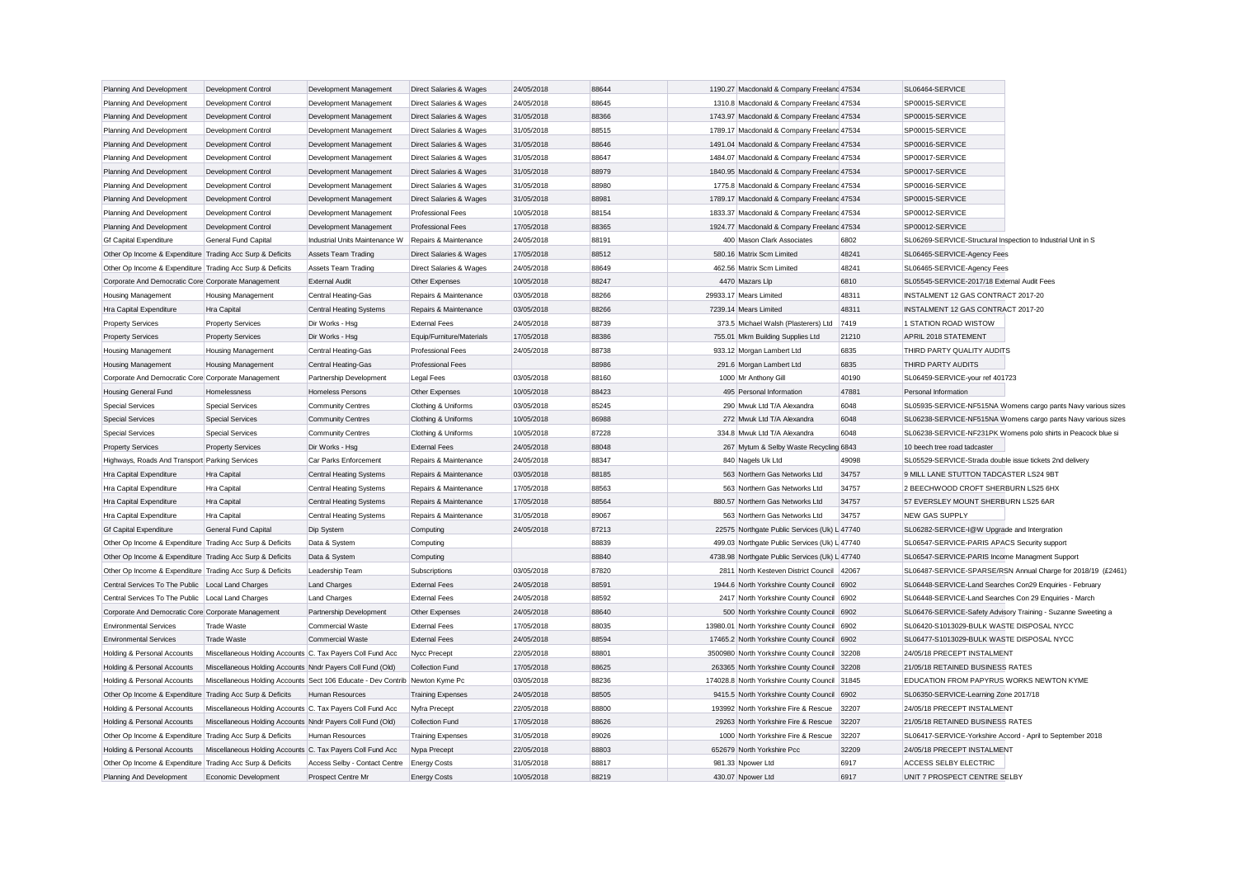| Planning And Development                                  | Development Control                                                          | Development Management         | Direct Salaries & Wages            | 24/05/2018 | 88644 | 1190.27 Macdonald & Company Freelanc 47534     |       | SL06464-SERVICE                                                              |                                                               |
|-----------------------------------------------------------|------------------------------------------------------------------------------|--------------------------------|------------------------------------|------------|-------|------------------------------------------------|-------|------------------------------------------------------------------------------|---------------------------------------------------------------|
| Planning And Development                                  | Development Control                                                          | Development Management         | Direct Salaries & Wages            | 24/05/2018 | 88645 | 1310.8 Macdonald & Company Freeland 47534      |       | SP00015-SERVICE                                                              |                                                               |
| Planning And Development                                  | Development Control                                                          | Development Management         | Direct Salaries & Wages            | 31/05/2018 | 88366 | 1743.97 Macdonald & Company Freeland 47534     |       | SP00015-SERVICE                                                              |                                                               |
| Planning And Development                                  | Development Control                                                          | Development Management         | Direct Salaries & Wages            | 31/05/2018 | 88515 | 1789.17 Macdonald & Company Freeland 47534     |       | SP00015-SERVICE                                                              |                                                               |
| Planning And Development                                  | Development Control                                                          | Development Management         | Direct Salaries & Wages            | 31/05/2018 | 88646 | 1491.04 Macdonald & Company Freelanc 47534     |       | SP00016-SERVICE                                                              |                                                               |
| Planning And Development                                  | Development Control                                                          | Development Management         | Direct Salaries & Wages            | 31/05/2018 | 88647 | 1484.07 Macdonald & Company Freeland 47534     |       | SP00017-SERVICE                                                              |                                                               |
| Planning And Development                                  | Development Control                                                          | Development Management         | <b>Direct Salaries &amp; Wages</b> | 31/05/2018 | 88979 | 1840.95 Macdonald & Company Freelanc 47534     |       | SP00017-SERVICE                                                              |                                                               |
| Planning And Development                                  | Development Control                                                          | Development Management         | Direct Salaries & Wages            | 31/05/2018 | 88980 | 1775.8 Macdonald & Company Freeland 47534      |       | SP00016-SERVICE                                                              |                                                               |
| Planning And Development                                  | Development Control                                                          | Development Management         | Direct Salaries & Wages            | 31/05/2018 | 88981 | 1789.17 Macdonald & Company Freelanc 47534     |       | SP00015-SERVICE                                                              |                                                               |
| Planning And Development                                  | Development Control                                                          | Development Management         | <b>Professional Fees</b>           | 10/05/2018 | 88154 | 1833.37 Macdonald & Company Freeland 47534     |       | SP00012-SERVICE                                                              |                                                               |
| Planning And Development                                  | Development Control                                                          | Development Management         | <b>Professional Fees</b>           | 17/05/2018 | 88365 | 1924.77 Macdonald & Company Freeland 47534     |       | SP00012-SERVICE                                                              |                                                               |
| <b>Gf Capital Expenditure</b>                             | General Fund Capital                                                         | Industrial Units Maintenance W | Repairs & Maintenance              | 24/05/2018 | 88191 | 400 Mason Clark Associates                     | 6802  | SL06269-SERVICE-Structural Inspection to Industrial Unit in S                |                                                               |
| Other Op Income & Expenditure Trading Acc Surp & Deficits |                                                                              | <b>Assets Team Trading</b>     | Direct Salaries & Wages            | 17/05/2018 | 88512 | 580.16 Matrix Scm Limited                      | 48241 | SL06465-SERVICE-Agency Fees                                                  |                                                               |
| Other Op Income & Expenditure Trading Acc Surp & Deficits |                                                                              | <b>Assets Team Trading</b>     | Direct Salaries & Wages            | 24/05/2018 | 88649 | 462.56 Matrix Scm Limited                      | 48241 | SL06465-SERVICE-Agency Fees                                                  |                                                               |
| Corporate And Democratic Core Corporate Management        |                                                                              | <b>External Audit</b>          | Other Expenses                     | 10/05/2018 | 88247 | 4470 Mazars Llo                                | 6810  | SL05545-SERVICE-2017/18 External Audit Fees                                  |                                                               |
| Housing Management                                        | Housing Management                                                           | Central Heating-Gas            | Repairs & Maintenance              | 03/05/2018 | 88266 | 29933.17 Mears Limited                         | 48311 | INSTALMENT 12 GAS CONTRACT 2017-20                                           |                                                               |
| Hra Capital Expenditure                                   | Hra Capital                                                                  | Central Heating Systems        | Repairs & Maintenance              | 03/05/2018 | 88266 | 7239.14 Mears Limited                          | 48311 | INSTALMENT 12 GAS CONTRACT 2017-20                                           |                                                               |
| <b>Property Services</b>                                  | <b>Property Services</b>                                                     | Dir Works - Hsg                | <b>External Fees</b>               | 24/05/2018 | 88739 | 373.5 Michael Walsh (Plasterers) Ltd           | 7419  | 1 STATION ROAD WISTOW                                                        |                                                               |
| <b>Property Services</b>                                  | <b>Property Services</b>                                                     | Dir Works - Hsg                | Equip/Furniture/Materials          | 17/05/2018 | 88386 | 755.01 Mkm Building Supplies Ltd               | 21210 | APRIL 2018 STATEMENT                                                         |                                                               |
| Housing Management                                        | <b>Housing Management</b>                                                    | Central Heating-Gas            | <b>Professional Fees</b>           | 24/05/2018 | 88738 | 933.12 Morgan Lambert Ltd                      | 6835  | THIRD PARTY QUALITY AUDITS                                                   |                                                               |
| <b>Housing Management</b>                                 | <b>Housing Management</b>                                                    | Central Heating-Gas            | <b>Professional Fees</b>           |            | 88986 | 291.6 Morgan Lambert Ltd                       | 6835  | THIRD PARTY AUDITS                                                           |                                                               |
| Corporate And Democratic Core Corporate Management        |                                                                              | Partnership Development        | Legal Fees                         | 03/05/2018 | 88160 | 1000 Mr Anthony Gill                           | 40190 | SL06459-SERVICE-your ref 401723                                              |                                                               |
| <b>Housing General Fund</b>                               | Homelessness                                                                 | <b>Homeless Persons</b>        | Other Expenses                     | 10/05/2018 | 88423 | 495 Personal Information                       | 47881 | Personal Information                                                         |                                                               |
| <b>Special Services</b>                                   | <b>Special Services</b>                                                      | <b>Community Centres</b>       | Clothing & Uniforms                | 03/05/2018 | 85245 | 290 Mwuk Ltd T/A Alexandra                     | 6048  |                                                                              | SL05935-SERVICE-NF515NA Womens cargo pants Navy various sizes |
| <b>Special Services</b>                                   | <b>Special Services</b>                                                      | <b>Community Centres</b>       | Clothing & Uniforms                | 10/05/2018 | 86988 | 272 Mwuk Ltd T/A Alexandra                     | 6048  |                                                                              | SL06238-SERVICE-NF515NA Womens cargo pants Navy various sizes |
| <b>Special Services</b>                                   | <b>Special Services</b>                                                      | <b>Community Centres</b>       | Clothing & Uniforms                | 10/05/2018 | 87228 | 334.8 Mwuk Ltd T/A Alexandra                   | 6048  |                                                                              | SL06238-SERVICE-NF231PK Womens polo shirts in Peacock blue si |
| <b>Property Services</b>                                  | <b>Property Services</b>                                                     | Dir Works - Hsg                | <b>External Fees</b>               | 24/05/2018 | 88048 | 267 Mytum & Selby Waste Recycling 6843         |       | 10 beech tree road tadcaster                                                 |                                                               |
| Highways, Roads And Transport Parking Services            |                                                                              | Car Parks Enforcement          | Repairs & Maintenance              | 24/05/2018 | 88347 | 840 Nagels Uk Ltd                              | 49098 | SL05529-SERVICE-Strada double issue tickets 2nd delivery                     |                                                               |
| Hra Capital Expenditure                                   | Hra Capital                                                                  | Central Heating Systems        | Repairs & Maintenance              | 03/05/2018 | 88185 | 563 Northern Gas Networks Ltd                  | 34757 | 9 MILL LANE STUTTON TADCASTER LS24 9BT                                       |                                                               |
| Hra Capital Expenditure                                   | Hra Capital                                                                  | <b>Central Heating Systems</b> | Repairs & Maintenance              | 17/05/2018 | 88563 | 563 Northern Gas Networks Ltd                  | 34757 | 2 BEECHWOOD CROFT SHERBURN LS25 6HX                                          |                                                               |
| Hra Capital Expenditure                                   | Hra Capital                                                                  | <b>Central Heating Systems</b> | Repairs & Maintenance              | 17/05/2018 | 88564 | 880.57 Northern Gas Networks Ltd               | 34757 | 57 EVERSLEY MOUNT SHERBURN LS25 6AR                                          |                                                               |
| Hra Capital Expenditure                                   | Hra Capital                                                                  | <b>Central Heating Systems</b> | Repairs & Maintenance              | 31/05/2018 | 89067 | 563 Northern Gas Networks Ltd                  | 34757 | <b>NEW GAS SUPPLY</b>                                                        |                                                               |
| <b>Gf Capital Expenditure</b>                             | General Fund Capital                                                         | Dip System                     | Computing                          | 24/05/2018 | 87213 | 22575 Northgate Public Services (Uk) L 47740   |       | SL06282-SERVICE-I@W Upgrade and Intergration                                 |                                                               |
| Other Op Income & Expenditure Trading Acc Surp & Deficits |                                                                              | Data & System                  | Computing                          |            | 88839 | 499.03 Northgate Public Services (Uk) L 47740  |       | SL06547-SERVICE-PARIS APACS Security support                                 |                                                               |
| Other Op Income & Expenditure Trading Acc Surp & Deficits |                                                                              | Data & System                  | Computing                          |            | 88840 | 4738.98 Northgate Public Services (Uk) L 47740 |       | SL06547-SERVICE-PARIS Income Managment Support                               |                                                               |
| Other Op Income & Expenditure Trading Acc Surp & Deficits |                                                                              | Leadership Team                | Subscriptions                      | 03/05/2018 | 87820 | 2811 North Kesteven District Council 42067     |       |                                                                              | SL06487-SERVICE-SPARSE/RSN Annual Charge for 2018/19 (£2461)  |
| Central Services To The Public Local Land Charges         |                                                                              | <b>Land Charges</b>            | <b>External Fees</b>               | 24/05/2018 | 88591 | 1944.6 North Yorkshire County Council 6902     |       | SL06448-SERVICE-Land Searches Con29 Enquiries - February                     |                                                               |
| Central Services To The Public   Local Land Charges       |                                                                              | <b>Land Charges</b>            | <b>External Fees</b>               | 24/05/2018 | 88592 | 2417 North Yorkshire County Council 6902       |       | SL06448-SERVICE-Land Searches Con 29 Enquiries - March                       |                                                               |
| Corporate And Democratic Core Corporate Management        |                                                                              | Partnership Development        | Other Expenses                     | 24/05/2018 | 88640 | 500 North Yorkshire County Council 6902        |       | SL06476-SERVICE-Safety Advisory Training - Suzanne Sweeting a                |                                                               |
| <b>Environmental Services</b>                             | <b>Trade Waste</b>                                                           | Commercial Waste               | <b>External Fees</b>               | 17/05/2018 | 88035 | 13980.01 North Yorkshire County Council 6902   |       | SL06420-S1013029-BULK WASTE DISPOSAL NYCC                                    |                                                               |
| <b>Environmental Services</b>                             | <b>Trade Waste</b>                                                           | Commercial Waste               | <b>External Fees</b>               | 24/05/2018 | 88594 | 17465.2 North Yorkshire County Council 6902    |       | SL06477-S1013029-BULK WASTE DISPOSAL NYCC                                    |                                                               |
|                                                           |                                                                              |                                | Nycc Precept                       | 22/05/2018 | 88801 | 3500980 North Yorkshire County Council 32208   |       | 24/05/18 PRECEPT INSTALMENT                                                  |                                                               |
| Holding & Personal Accounts                               | Miscellaneous Holding Accounts C. Tax Payers Coll Fund Acc                   |                                |                                    |            | 88625 |                                                |       |                                                                              |                                                               |
| Holding & Personal Accounts                               | Miscellaneous Holding Accounts Nndr Payers Coll Fund (Old)                   |                                | <b>Collection Fund</b>             | 17/05/2018 | 88236 | 263365 North Yorkshire County Council 32208    |       | 21/05/18 RETAINED BUSINESS RATES<br>EDUCATION FROM PAPYRUS WORKS NEWTON KYME |                                                               |
| Holding & Personal Accounts                               | Miscellaneous Holding Accounts Sect 106 Educate - Dev Contrib Newton Kyme Pc |                                |                                    | 03/05/2018 |       | 174028.8 North Yorkshire County Council 31845  |       |                                                                              |                                                               |
| Other Op Income & Expenditure Trading Acc Surp & Deficits |                                                                              | Human Resources                | <b>Training Expenses</b>           | 24/05/2018 | 88505 | 9415.5 North Yorkshire County Council 6902     |       | SL06350-SERVICE-Learning Zone 2017/18                                        |                                                               |
| Holding & Personal Accounts                               | Miscellaneous Holding Accounts C. Tax Payers Coll Fund Acc                   |                                | Nyfra Precept                      | 22/05/2018 | 88800 | 193992 North Yorkshire Fire & Rescue           | 32207 | 24/05/18 PRECEPT INSTALMENT                                                  |                                                               |
| Holding & Personal Accounts                               | Miscellaneous Holding Accounts Nndr Payers Coll Fund (Old)                   |                                | <b>Collection Fund</b>             | 17/05/2018 | 88626 | 29263 North Yorkshire Fire & Rescue            | 32207 | 21/05/18 RETAINED BUSINESS RATES                                             |                                                               |
| Other Op Income & Expenditure Trading Acc Surp & Deficits |                                                                              | Human Resources                | <b>Training Expenses</b>           | 31/05/2018 | 89026 | 1000 North Yorkshire Fire & Rescue             | 32207 | SL06417-SERVICE-Yorkshire Accord - April to September 2018                   |                                                               |
| Holding & Personal Accounts                               | Miscellaneous Holding Accounts C. Tax Payers Coll Fund Acc                   |                                | Nypa Precept                       | 22/05/2018 | 88803 | 652679 North Yorkshire Pcc                     | 32209 | 24/05/18 PRECEPT INSTALMENT                                                  |                                                               |
| Other Op Income & Expenditure Trading Acc Surp & Deficits |                                                                              | Access Selby - Contact Centre  | <b>Energy Costs</b>                | 31/05/2018 | 88817 | 981.33 Npower Ltd                              | 6917  | ACCESS SELBY ELECTRIC                                                        |                                                               |
| Planning And Development                                  | Economic Development                                                         | Prospect Centre Mr             | <b>Energy Costs</b>                | 10/05/2018 | 88219 | 430.07 Noower Ltd                              | 6917  | UNIT 7 PROSPECT CENTRE SELBY                                                 |                                                               |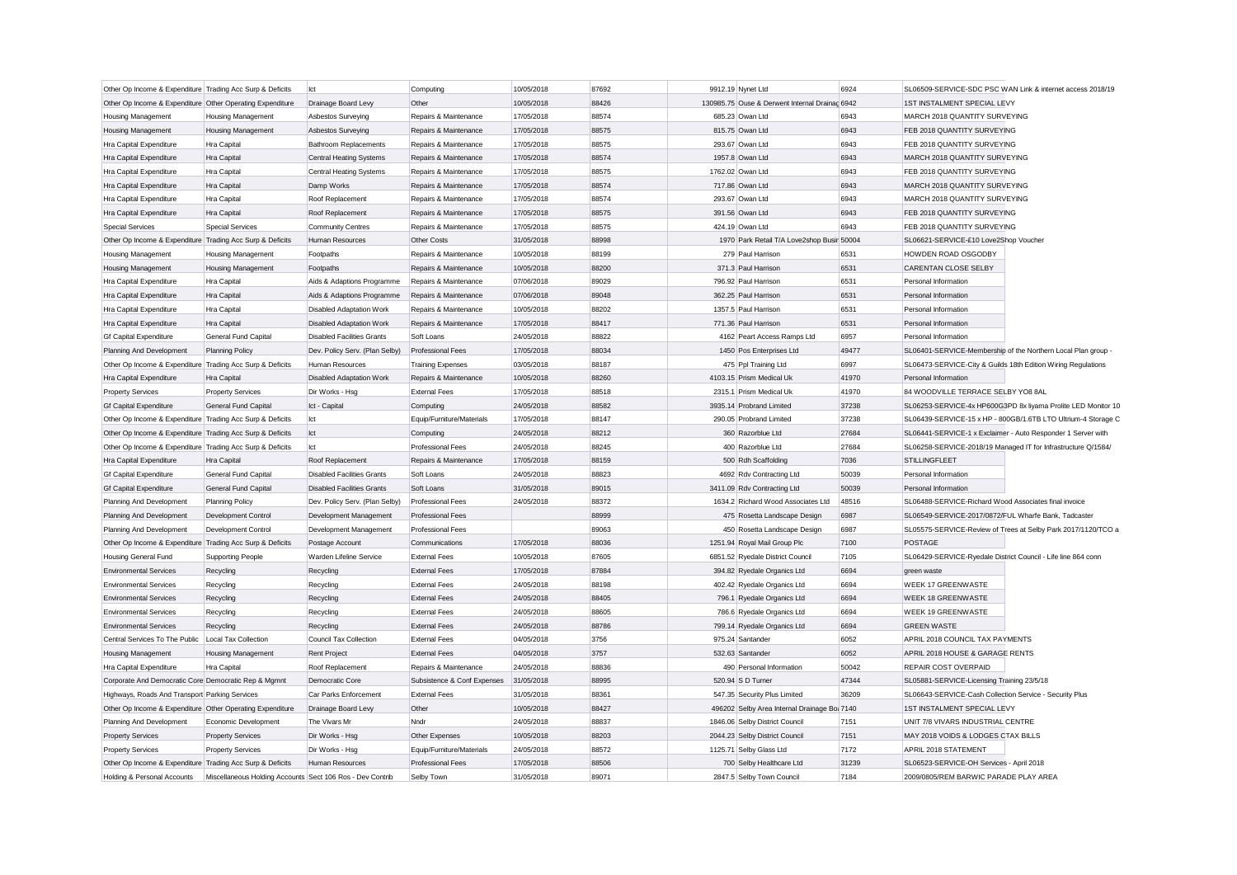| Other Op Income & Expenditure Trading Acc Surp & Deficits                              |                                                           | lct                                       | Computing                   | 10/05/2018 | 87692 | 9912.19 Nynet Ltd                              | 6924  | SL06509-SERVICE-SDC PSC WAN Link & internet access 2018/19    |
|----------------------------------------------------------------------------------------|-----------------------------------------------------------|-------------------------------------------|-----------------------------|------------|-------|------------------------------------------------|-------|---------------------------------------------------------------|
|                                                                                        |                                                           |                                           | Other                       | 10/05/2018 | 88426 | 130985.75 Ouse & Derwent Internal Drainac 6942 |       | 1ST INSTALMENT SPECIAL LEVY                                   |
| Other Op Income & Expenditure Other Operating Expenditure<br><b>Housing Management</b> | <b>Housing Management</b>                                 | Drainage Board Levy<br>Asbestos Surveying | Repairs & Maintenance       | 17/05/2018 | 88574 | 685.23 Owan Ltd                                | 6943  | MARCH 2018 QUANTITY SURVEYING                                 |
|                                                                                        |                                                           |                                           |                             |            |       |                                                |       |                                                               |
| <b>Housing Management</b>                                                              | <b>Housing Management</b>                                 | Asbestos Surveying                        | Repairs & Maintenance       | 17/05/2018 | 88575 | 815.75 Owan Ltd                                | 6943  | FEB 2018 QUANTITY SURVEYING                                   |
| Hra Capital Expenditure                                                                | Hra Capital                                               | <b>Bathroom Replacements</b>              | Repairs & Maintenance       | 17/05/2018 | 88575 | 293.67 Owan Ltd                                | 6943  | FEB 2018 QUANTITY SURVEYING                                   |
| Hra Capital Expenditure                                                                | Hra Capital                                               | <b>Central Heating Systems</b>            | Repairs & Maintenance       | 17/05/2018 | 88574 | 1957.8 Owan Ltd                                | 6943  | MARCH 2018 QUANTITY SURVEYING                                 |
| Hra Capital Expenditure                                                                | Hra Capital                                               | Central Heating Systems                   | Repairs & Maintenance       | 17/05/2018 | 88575 | 1762.02 Owan Ltd                               | 6943  | FEB 2018 QUANTITY SURVEYING                                   |
| Hra Capital Expenditure                                                                | Hra Capital                                               | Damp Works                                | Repairs & Maintenance       | 17/05/2018 | 88574 | 717.86 Owan Ltd                                | 6943  | MARCH 2018 QUANTITY SURVEYING                                 |
| Hra Capital Expenditure                                                                | Hra Capital                                               | Roof Replacement                          | Repairs & Maintenance       | 17/05/2018 | 88574 | 293.67 Owan Ltd                                | 6943  | MARCH 2018 QUANTITY SURVEYING                                 |
| Hra Capital Expenditure                                                                | Hra Capital                                               | Roof Replacement                          | Repairs & Maintenance       | 17/05/2018 | 88575 | 391.56 Owan Ltd                                | 6943  | FEB 2018 QUANTITY SURVEYING                                   |
| <b>Special Services</b>                                                                | <b>Special Services</b>                                   | <b>Community Centres</b>                  | Repairs & Maintenance       | 17/05/2018 | 88575 | 424.19 Owan Ltd                                | 6943  | FEB 2018 QUANTITY SURVEYING                                   |
| Other Op Income & Expenditure Trading Acc Surp & Deficits                              |                                                           | Human Resources                           | Other Costs                 | 31/05/2018 | 88998 | 1970 Park Retail T/A Love2shop Busir 50004     |       | SL06621-SERVICE-£10 Love2Shop Voucher                         |
| <b>Housing Management</b>                                                              | <b>Housing Management</b>                                 | Footpaths                                 | Repairs & Maintenance       | 10/05/2018 | 88199 | 279 Paul Harrison                              | 6531  | HOWDEN ROAD OSGODBY                                           |
| <b>Housing Management</b>                                                              | <b>Housing Management</b>                                 | Footpaths                                 | Repairs & Maintenance       | 10/05/2018 | 88200 | 371.3 Paul Harrison                            | 6531  | CARENTAN CLOSE SELBY                                          |
| Hra Capital Expenditure                                                                | Hra Capital                                               | Aids & Adaptions Programme                | Repairs & Maintenance       | 07/06/2018 | 89029 | 796.92 Paul Harrison                           | 6531  | Personal Information                                          |
| Hra Capital Expenditure                                                                | Hra Capital                                               | Aids & Adaptions Programme                | Repairs & Maintenance       | 07/06/2018 | 89048 | 362.25 Paul Harrison                           | 6531  | Personal Information                                          |
| Hra Capital Expenditure                                                                | Hra Capital                                               | <b>Disabled Adaptation Work</b>           | Repairs & Maintenance       | 10/05/2018 | 88202 | 1357.5 Paul Harrison                           | 6531  | Personal Information                                          |
| Hra Capital Expenditure                                                                | Hra Capital                                               | <b>Disabled Adaptation Work</b>           | Repairs & Maintenance       | 17/05/2018 | 88417 | 771.36 Paul Harrison                           | 6531  | Personal Information                                          |
| <b>Gf Capital Expenditure</b>                                                          | General Fund Capital                                      | <b>Disabled Facilities Grants</b>         | Soft Loans                  | 24/05/2018 | 88822 | 4162 Peart Access Ramps Ltd                    | 6957  | Personal Information                                          |
| Planning And Development                                                               | <b>Planning Policy</b>                                    | Dev. Policy Serv. (Plan Selby)            | <b>Professional Fees</b>    | 17/05/2018 | 88034 | 1450 Pos Enterprises Ltd                       | 49477 | SL06401-SERVICE-Membership of the Northern Local Plan group - |
| Other Op Income & Expenditure Trading Acc Surp & Deficits                              |                                                           | <b>Human Resources</b>                    | <b>Training Expenses</b>    | 03/05/2018 | 88187 | 475 Ppl Training Ltd                           | 6997  | SL06473-SERVICE-City & Guilds 18th Edition Wiring Regulations |
| Hra Capital Expenditure                                                                | Hra Capital                                               | <b>Disabled Adaptation Work</b>           | Repairs & Maintenance       | 10/05/2018 | 88260 | 4103.15 Prism Medical Uk                       | 41970 | Personal Information                                          |
| <b>Property Services</b>                                                               | <b>Property Services</b>                                  | Dir Works - Hsg                           | <b>External Fees</b>        | 17/05/2018 | 88518 | 2315.1 Prism Medical Uk                        | 41970 | 84 WOODVILLE TERRACE SELBY YO8 8AL                            |
| <b>Gf Capital Expenditure</b>                                                          | General Fund Capital                                      | Ict - Capital                             | Computing                   | 24/05/2018 | 88582 | 3935.14 Probrand Limited                       | 37238 | SL06253-SERVICE-4x HP600G3PD 8x liyama Prolite LED Monitor 10 |
| Other Op Income & Expenditure Trading Acc Surp & Deficits                              |                                                           | lct                                       | Equip/Furniture/Materials   | 17/05/2018 | 88147 | 290.05 Probrand Limited                        | 37238 | SL06439-SERVICE-15 x HP - 800GB/1.6TB LTO Ultrium-4 Storage C |
| Other Op Income & Expenditure Trading Acc Surp & Deficits                              |                                                           | Ict                                       | Computing                   | 24/05/2018 | 88212 | 360 Razorblue Ltd                              | 27684 | SL06441-SERVICE-1 x Exclaimer - Auto Responder 1 Server with  |
| Other Op Income & Expenditure Trading Acc Surp & Deficits                              |                                                           | Ict                                       | <b>Professional Fees</b>    | 24/05/2018 | 88245 | 400 Razorblue Ltd                              | 27684 | SL06258-SERVICE-2018/19 Managed IT for Infrastructure Q/1584/ |
| Hra Capital Expenditure                                                                | Hra Capital                                               | Roof Replacement                          | Repairs & Maintenance       | 17/05/2018 | 88159 | 500 Rdh Scaffolding                            | 7036  | <b>STILLINGFLEET</b>                                          |
| Gf Capital Expenditure                                                                 | General Fund Capital                                      | <b>Disabled Facilities Grants</b>         | Soft Loans                  | 24/05/2018 | 88823 | 4692 Rdv Contracting Ltd                       | 50039 | Personal Information                                          |
| <b>Gf Capital Expenditure</b>                                                          | General Fund Capital                                      | <b>Disabled Facilities Grants</b>         | Soft Loans                  | 31/05/2018 | 89015 | 3411.09 Rdv Contracting Ltd                    | 50039 | Personal Information                                          |
|                                                                                        |                                                           |                                           | <b>Professional Fees</b>    | 24/05/2018 | 88372 | 1634.2 Richard Wood Associates Ltd             | 48516 | SL06488-SERVICE-Richard Wood Associates final invoice         |
| Planning And Development                                                               | <b>Planning Policy</b>                                    | Dev. Policy Serv. (Plan Selby)            |                             |            |       |                                                |       |                                                               |
| Planning And Development                                                               | Development Control                                       | Development Management                    | Professional Fees           |            | 88999 | 475 Rosetta Landscape Design                   | 6987  | SL06549-SERVICE-2017/0872/FUL Wharfe Bank, Tadcaster          |
| Planning And Development                                                               | Development Control                                       | Development Management                    | <b>Professional Fees</b>    |            | 89063 | 450 Rosetta Landscape Design                   | 6987  | SL05575-SERVICE-Review of Trees at Selby Park 2017/1120/TCO a |
| Other Op Income & Expenditure Trading Acc Surp & Deficits                              |                                                           | Postage Account                           | Communications              | 17/05/2018 | 88036 | 1251.94 Royal Mail Group Plc                   | 7100  | <b>POSTAGE</b>                                                |
| Housing General Fund                                                                   | Supporting People                                         | Warden Lifeline Service                   | <b>External Fees</b>        | 10/05/2018 | 87605 | 6851.52 Ryedale District Council               | 7105  | SL06429-SERVICE-Ryedale District Council - Life line 864 conn |
| <b>Environmental Services</b>                                                          | Recycling                                                 | Recycling                                 | <b>External Fees</b>        | 17/05/2018 | 87884 | 394.82 Ryedale Organics Ltd                    | 6694  | green waste                                                   |
| <b>Environmental Services</b>                                                          | Recycling                                                 | Recycling                                 | <b>External Fees</b>        | 24/05/2018 | 88198 | 402.42 Ryedale Organics Ltd                    | 6694  | WEEK 17 GREENWASTE                                            |
| <b>Environmental Services</b>                                                          | Recycling                                                 | Recycling                                 | <b>External Fees</b>        | 24/05/2018 | 88405 | 796.1 Ryedale Organics Ltd                     | 6694  | <b>WEEK 18 GREENWASTE</b>                                     |
| <b>Environmental Services</b>                                                          | Recycling                                                 | Recycling                                 | <b>External Fees</b>        | 24/05/2018 | 88605 | 786.6 Ryedale Organics Ltd                     | 6694  | WEEK 19 GREENWASTE                                            |
| <b>Environmental Services</b>                                                          | Recycling                                                 | Recycling                                 | <b>External Fees</b>        | 24/05/2018 | 88786 | 799.14 Ryedale Organics Ltd                    | 6694  | <b>GREEN WASTE</b>                                            |
| Central Services To The Public                                                         | Local Tax Collection                                      | Council Tax Collection                    | <b>External Fees</b>        | 04/05/2018 | 3756  | 975.24 Santander                               | 6052  | APRIL 2018 COUNCIL TAX PAYMENTS                               |
| <b>Housing Management</b>                                                              | <b>Housing Management</b>                                 | Rent Project                              | <b>External Fees</b>        | 04/05/2018 | 3757  | 532.63 Santander                               | 6052  | APRIL 2018 HOUSE & GARAGE RENTS                               |
| Hra Capital Expenditure                                                                | <b>Hra Capital</b>                                        | Roof Replacement                          | Repairs & Maintenance       | 24/05/2018 | 88836 | 490 Personal Information                       | 50042 | REPAIR COST OVERPAID                                          |
| Corporate And Democratic Core Democratic Rep & Mgmnt                                   |                                                           | Democratic Core                           | Subsistence & Conf Expenses | 31/05/2018 | 88995 | 520.94 S D Turner                              | 47344 | SL05881-SERVICE-Licensing Training 23/5/18                    |
| Highways, Roads And Transport Parking Services                                         |                                                           | Car Parks Enforcement                     | <b>External Fees</b>        | 31/05/2018 | 88361 | 547.35 Security Plus Limited                   | 36209 | SL06643-SERVICE-Cash Collection Service - Security Plus       |
| Other Op Income & Expenditure Other Operating Expenditure                              |                                                           | Drainage Board Levy                       | Other                       | 10/05/2018 | 88427 | 496202 Selby Area Internal Drainage Bo: 7140   |       | 1ST INSTALMENT SPECIAL LEVY                                   |
| Planning And Development                                                               | Economic Development                                      | The Vivars Mr                             | Nndr                        | 24/05/2018 | 88837 | 1846.06 Selby District Council                 | 7151  | UNIT 7/8 VIVARS INDUSTRIAL CENTRE                             |
| <b>Property Services</b>                                                               | <b>Property Services</b>                                  | Dir Works - Hsg                           | Other Expenses              | 10/05/2018 | 88203 | 2044.23 Selby District Council                 | 7151  | MAY 2018 VOIDS & LODGES CTAX BILLS                            |
| <b>Property Services</b>                                                               | <b>Property Services</b>                                  | Dir Works - Hsg                           | Equip/Furniture/Materials   | 24/05/2018 | 88572 | 1125.71 Selby Glass Ltd                        | 7172  | APRIL 2018 STATEMENT                                          |
| Other Op Income & Expenditure Trading Acc Surp & Deficits                              |                                                           | Human Resources                           | <b>Professional Fees</b>    | 17/05/2018 | 88506 | 700 Selby Healthcare Ltd                       | 31239 | SL06523-SERVICE-OH Services - April 2018                      |
| Holding & Personal Accounts                                                            | Miscellaneous Holding Accounts Sect 106 Ros - Dev Contrib |                                           | Selby Town                  | 31/05/2018 | 89071 | 2847.5 Selby Town Council                      | 7184  | 2009/0805/REM BARWIC PARADE PLAY AREA                         |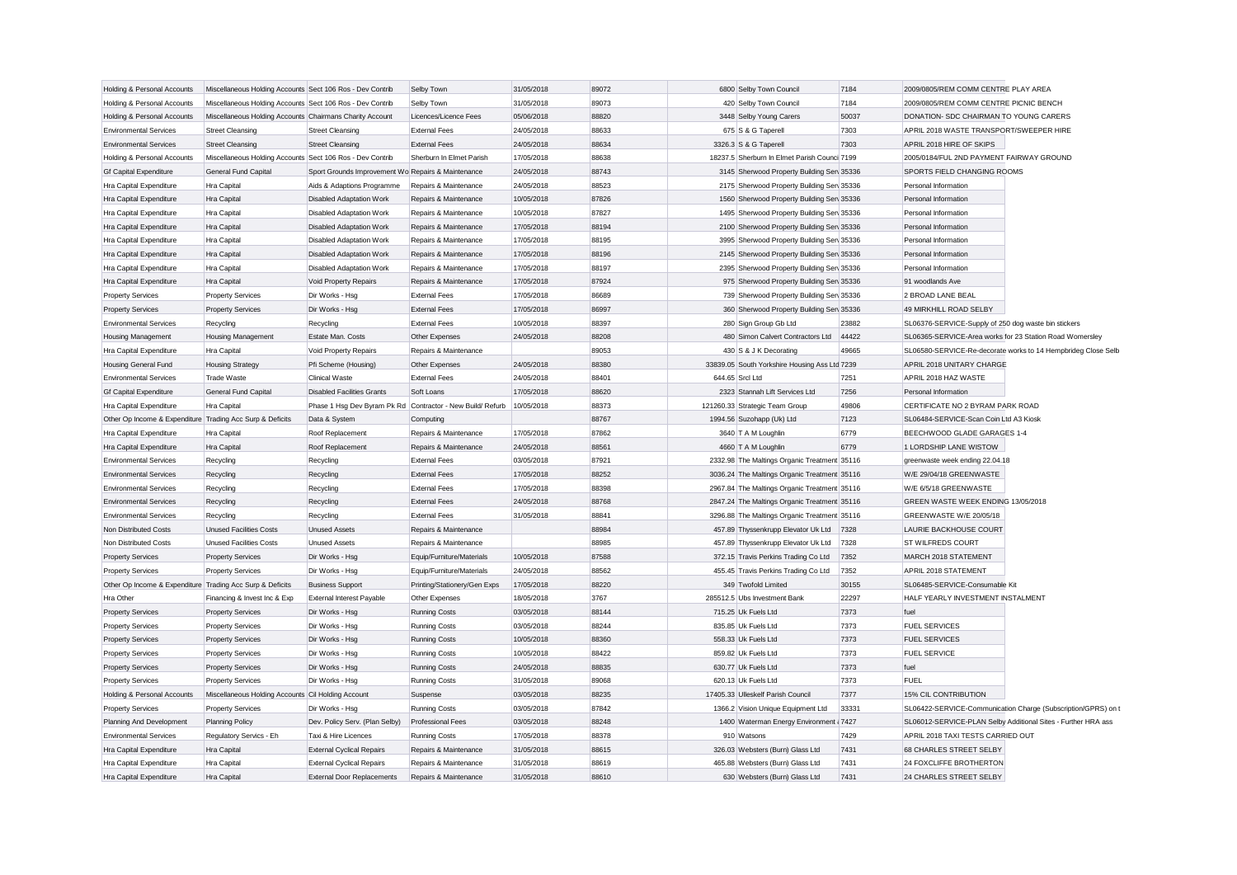| Holding & Personal Accounts                                                           | Miscellaneous Holding Accounts Sect 106 Ros - Dev Contrib |                                                            | Selby Town                   | 31/05/2018               | 89072          | 6800 Selby Town Council                             | 7184          | 2009/0805/REM COMM CENTRE PLAY AREA                      |                                                               |
|---------------------------------------------------------------------------------------|-----------------------------------------------------------|------------------------------------------------------------|------------------------------|--------------------------|----------------|-----------------------------------------------------|---------------|----------------------------------------------------------|---------------------------------------------------------------|
| Holding & Personal Accounts                                                           | Miscellaneous Holding Accounts Sect 106 Ros - Dev Contrib |                                                            | Selby Town                   | 31/05/2018               | 89073          | 420 Selby Town Council                              | 7184          | 2009/0805/REM COMM CENTRE PICNIC BENCH                   |                                                               |
| Holding & Personal Accounts                                                           | Miscellaneous Holding Accounts Chairmans Charity Account  |                                                            | Licences/Licence Fees        | 05/06/2018               | 88820          | 3448 Selby Young Carers                             | 50037         | DONATION- SDC CHAIRMAN TO YOUNG CARERS                   |                                                               |
| <b>Environmental Services</b>                                                         | <b>Street Cleansing</b>                                   | <b>Street Cleansing</b>                                    | <b>External Fees</b>         | 24/05/2018               | 88633          | 675 S & G Taperell                                  | 7303          | APRIL 2018 WASTE TRANSPORT/SWEEPER HIRE                  |                                                               |
| <b>Environmental Services</b>                                                         | <b>Street Cleansing</b>                                   | <b>Street Cleansing</b>                                    | <b>External Fees</b>         | 24/05/2018               | 88634          | 3326.3 S & G Taperell                               | 7303          | APRIL 2018 HIRE OF SKIPS                                 |                                                               |
| Holding & Personal Accounts                                                           | Miscellaneous Holding Accounts Sect 106 Ros - Dev Contrib |                                                            | Sherburn In Elmet Parish     | 17/05/2018               | 88638          | 18237.5 Sherburn In Elmet Parish Counci 7199        |               | 2005/0184/FUL 2ND PAYMENT FAIRWAY GROUND                 |                                                               |
| <b>Gf Capital Expenditure</b>                                                         | General Fund Capital                                      | Sport Grounds Improvement Wo Repairs & Maintenance         |                              | 24/05/2018               | 88743          | 3145 Sherwood Property Building Sen 35336           |               | SPORTS FIELD CHANGING ROOMS                              |                                                               |
| Hra Capital Expenditure                                                               | Hra Capital                                               | Aids & Adaptions Programme                                 | Repairs & Maintenance        | 24/05/2018               | 88523          | 2175 Sherwood Property Building Sen 35336           |               | Personal Information                                     |                                                               |
| Hra Capital Expenditure                                                               | Hra Capital                                               | <b>Disabled Adaptation Work</b>                            | Repairs & Maintenance        | 10/05/2018               | 87826          | 1560 Sherwood Property Building Sen 35336           |               | Personal Information                                     |                                                               |
| Hra Capital Expenditure                                                               | Hra Capital                                               | <b>Disabled Adaptation Work</b>                            | Repairs & Maintenance        | 10/05/2018               | 87827          | 1495 Sherwood Property Building Sen 35336           |               | Personal Information                                     |                                                               |
| Hra Capital Expenditure                                                               | Hra Capital                                               | Disabled Adaptation Work                                   | Repairs & Maintenance        | 17/05/2018               | 88194          | 2100 Sherwood Property Building Sen 35336           |               | Personal Information                                     |                                                               |
| Hra Capital Expenditure                                                               | <b>Hra Capital</b>                                        | <b>Disabled Adaptation Work</b>                            | Repairs & Maintenance        | 17/05/2018               | 88195          | 3995 Sherwood Property Building Sen 35336           |               | Personal Information                                     |                                                               |
| Hra Capital Expenditure                                                               | Hra Capital                                               | Disabled Adaptation Work                                   | Repairs & Maintenance        | 17/05/2018               | 88196          | 2145 Sherwood Property Building Sen 35336           |               | Personal Information                                     |                                                               |
| Hra Capital Expenditure                                                               | Hra Capital                                               | <b>Disabled Adaptation Work</b>                            | Repairs & Maintenance        | 17/05/2018               | 88197          | 2395 Sherwood Property Building Sen 35336           |               | Personal Information                                     |                                                               |
| Hra Capital Expenditure                                                               | Hra Capital                                               | Void Property Repairs                                      | Repairs & Maintenance        | 17/05/2018               | 87924          | 975 Sherwood Property Building Sen 35336            |               | 91 woodlands Ave                                         |                                                               |
| <b>Property Services</b>                                                              | <b>Property Services</b>                                  | Dir Works - Hsa                                            | <b>External Fees</b>         | 17/05/2018               | 86689          | 739 Sherwood Property Building Sen 35336            |               | 2 BROAD LANE BEAL                                        |                                                               |
| <b>Property Services</b>                                                              | <b>Property Services</b>                                  | Dir Works - Hsg                                            | <b>External Fees</b>         | 17/05/2018               | 86997          | 360 Sherwood Property Building Sen 35336            |               | 49 MIRKHILL ROAD SELBY                                   |                                                               |
| <b>Environmental Services</b>                                                         | Recycling                                                 | Recycling                                                  | <b>External Fees</b>         | 10/05/2018               | 88397          | 280 Sign Group Gb Ltd                               | 23882         | SL06376-SERVICE-Supply of 250 dog waste bin stickers     |                                                               |
| <b>Housing Management</b>                                                             | <b>Housing Management</b>                                 | Estate Man. Costs                                          | Other Expenses               | 24/05/2018               | 88208          | 480 Simon Calvert Contractors Ltd                   | 44422         | SL06365-SERVICE-Area works for 23 Station Road Womersley |                                                               |
| Hra Capital Expenditure                                                               | Hra Capital                                               | Void Property Repairs                                      | Repairs & Maintenance        |                          | 89053          | 430 S & J K Decorating                              | 49665         |                                                          | SL06580-SERVICE-Re-decorate works to 14 Hempbrideg Close Selb |
| <b>Housing General Fund</b>                                                           | <b>Housing Strategy</b>                                   | Pfi Scheme (Housing)                                       | Other Expenses               | 24/05/2018               | 88380          | 33839.05 South Yorkshire Housing Ass Ltd 7239       |               | APRIL 2018 UNITARY CHARGE                                |                                                               |
| <b>Environmental Services</b>                                                         | <b>Trade Waste</b>                                        | Clinical Waste                                             | <b>External Fees</b>         | 24/05/2018               | 88401          | 644.65 Srcl Ltd                                     | 7251          | APRIL 2018 HAZ WASTE                                     |                                                               |
| <b>Gf Capital Expenditure</b>                                                         | General Fund Capital                                      | <b>Disabled Facilities Grants</b>                          | Soft Loans                   | 17/05/2018               | 88620          | 2323 Stannah Lift Services Ltd                      | 7256          | Personal Information                                     |                                                               |
| Hra Capital Expenditure                                                               | Hra Capital                                               | Phase 1 Hsg Dev Byram Pk Rd Contractor - New Build/ Refurb |                              | 10/05/2018               | 88373          | 121260.33 Strategic Team Group                      | 49806         | CERTIFICATE NO 2 BYRAM PARK ROAD                         |                                                               |
| Other Op Income & Expenditure Trading Acc Surp & Deficits                             |                                                           | Data & System                                              | Computing                    |                          | 88767          | 1994.56 Suzohapp (Uk) Ltd                           | 7123          | SL06484-SERVICE-Scan Coin Ltd A3 Kiosk                   |                                                               |
| Hra Capital Expenditure                                                               | Hra Capital                                               | Roof Replacement                                           | Repairs & Maintenance        | 17/05/2018               | 87862          | 3640 T A M Loughlin                                 | 6779          | BEECHWOOD GLADE GARAGES 1-4                              |                                                               |
| Hra Capital Expenditure                                                               | Hra Capital                                               | Roof Replacement                                           | Repairs & Maintenance        | 24/05/2018               | 88561          | 4660 T A M Loughlin                                 | 6779          | 1 LORDSHIP LANE WISTOW                                   |                                                               |
| <b>Environmental Services</b>                                                         | Recycling                                                 | Recycling                                                  | <b>External Fees</b>         | 03/05/2018               | 87921          | 2332.98 The Maltings Organic Treatment 35116        |               | greenwaste week ending 22.04.18                          |                                                               |
| <b>Environmental Services</b>                                                         | Recycling                                                 | Recycling                                                  | <b>External Fees</b>         | 17/05/2018               | 88252          | 3036.24 The Maltings Organic Treatment 35116        |               | W/E 29/04/18 GREENWASTE                                  |                                                               |
| <b>Environmental Services</b>                                                         | Recycling                                                 | Recycling                                                  | <b>External Fees</b>         | 17/05/2018               | 88398          | 2967.84 The Maltings Organic Treatment 35116        |               | W/E 6/5/18 GREENWASTE                                    |                                                               |
| <b>Environmental Services</b>                                                         | Recycling                                                 | Recycling                                                  | <b>External Fees</b>         | 24/05/2018               | 88768          | 2847.24 The Maltings Organic Treatment 35116        |               | GREEN WASTE WEEK ENDING 13/05/2018                       |                                                               |
| <b>Environmental Services</b>                                                         |                                                           |                                                            | <b>External Fees</b>         | 31/05/2018               | 88841          | 3296.88 The Maltings Organic Treatment 35116        |               | GREENWASTE W/E 20/05/18                                  |                                                               |
| Non Distributed Costs                                                                 | Recycling<br><b>Unused Facilities Costs</b>               | Recycling<br><b>Unused Assets</b>                          | Repairs & Maintenance        |                          | 88984          | 457.89 Thyssenkrupp Elevator Uk Ltd                 | 7328          | <b>LAURIE BACKHOUSE COURT</b>                            |                                                               |
| Non Distributed Costs                                                                 | <b>Unused Facilities Costs</b>                            | <b>Unused Assets</b>                                       | Repairs & Maintenance        |                          | 88985          | 457.89 Thyssenkrupp Elevator Uk Ltd                 | 7328          | <b>ST WILFREDS COURT</b>                                 |                                                               |
|                                                                                       | <b>Property Services</b>                                  | Dir Works - Hsg                                            | Equip/Furniture/Materials    | 10/05/2018               | 87588          | 372.15 Travis Perkins Trading Co Ltd                | 7352          | MARCH 2018 STATEMENT                                     |                                                               |
| <b>Property Services</b>                                                              |                                                           |                                                            | Equip/Furniture/Materials    | 24/05/2018               | 88562          | 455.45 Travis Perkins Trading Co Ltd                | 7352          | APRIL 2018 STATEMENT                                     |                                                               |
| <b>Property Services</b><br>Other Op Income & Expenditure Trading Acc Surp & Deficits | <b>Property Services</b>                                  | Dir Works - Hsg<br><b>Business Support</b>                 | Printing/Stationery/Gen Exps | 17/05/2018               | 88220          | 349 Twofold Limited                                 | 30155         | SL06485-SERVICE-Consumable Kit                           |                                                               |
|                                                                                       |                                                           |                                                            |                              |                          |                |                                                     |               | HALF YEARLY INVESTMENT INSTALMENT                        |                                                               |
| Hra Other                                                                             | Financing & Invest Inc & Exp                              | <b>External Interest Payable</b>                           | Other Expenses               | 18/05/2018               | 3767           | 285512.5 Ubs Investment Bank<br>715.25 Uk Fuels Ltd | 22297<br>7373 | fuel                                                     |                                                               |
| <b>Property Services</b>                                                              | <b>Property Services</b>                                  | Dir Works - Hsg                                            | <b>Running Costs</b>         | 03/05/2018<br>03/05/2018 | 88144<br>88244 | 835.85 Uk Fuels Ltd                                 | 7373          | <b>FUEL SERVICES</b>                                     |                                                               |
| <b>Property Services</b>                                                              | <b>Property Services</b>                                  | Dir Works - Hsg                                            | <b>Running Costs</b>         |                          | 88360          | 558.33 Uk Fuels Ltd                                 | 7373          | <b>FUEL SERVICES</b>                                     |                                                               |
| <b>Property Services</b>                                                              | <b>Property Services</b>                                  | Dir Works - Hsg                                            | <b>Running Costs</b>         | 10/05/2018               | 88422          | 859.82 Uk Fuels Ltd                                 | 7373          | <b>FUEL SERVICE</b>                                      |                                                               |
| <b>Property Services</b>                                                              | <b>Property Services</b>                                  | Dir Works - Hsg                                            | <b>Running Costs</b>         | 10/05/2018               |                |                                                     |               |                                                          |                                                               |
| <b>Property Services</b>                                                              | <b>Property Services</b>                                  | Dir Works - Hsg                                            | <b>Running Costs</b>         | 24/05/2018               | 88835          | 630.77 Uk Fuels Ltd                                 | 7373          | fuel                                                     |                                                               |
| <b>Property Services</b>                                                              | <b>Property Services</b>                                  | Dir Works - Hsg                                            | <b>Running Costs</b>         | 31/05/2018               | 89068          | 620.13 Uk Fuels Ltd                                 | 7373          | <b>FUEL</b>                                              |                                                               |
| Holding & Personal Accounts                                                           | Miscellaneous Holding Accounts Cil Holding Account        |                                                            | Suspense                     | 03/05/2018               | 88235          | 17405.33 Ulleskelf Parish Council                   | 7377          | 15% CIL CONTRIBUTION                                     |                                                               |
| <b>Property Services</b>                                                              | <b>Property Services</b>                                  | Dir Works - Hsg                                            | <b>Running Costs</b>         | 03/05/2018               | 87842          | 1366.2 Vision Unique Equipment Ltd                  | 33331         |                                                          | SL06422-SERVICE-Communication Charge (Subscription/GPRS) on t |
| Planning And Development                                                              | <b>Planning Policy</b>                                    | Dev. Policy Serv. (Plan Selby)                             | <b>Professional Fees</b>     | 03/05/2018               | 88248          | 1400 Waterman Energy Environment i 7427             |               |                                                          | SL06012-SERVICE-PLAN Selby Additional Sites - Further HRA ass |
| <b>Environmental Services</b>                                                         | Regulatory Servics - Eh                                   | Taxi & Hire Licences                                       | <b>Running Costs</b>         | 17/05/2018               | 88378          | 910 Watsons                                         | 7429          | APRIL 2018 TAXI TESTS CARRIED OUT                        |                                                               |
| Hra Capital Expenditure                                                               | Hra Capital                                               | <b>External Cyclical Repairs</b>                           | Repairs & Maintenance        | 31/05/2018               | 88615          | 326.03 Websters (Burn) Glass Ltd                    | 7431          | 68 CHARLES STREET SELBY                                  |                                                               |
| Hra Capital Expenditure                                                               | Hra Capital                                               | <b>External Cyclical Repairs</b>                           | Repairs & Maintenance        | 31/05/2018               | 88619          | 465.88 Websters (Burn) Glass Ltd                    | 7431          | 24 FOXCLIFFE BROTHERTON                                  |                                                               |
| Hra Capital Expenditure                                                               | Hra Capital                                               | <b>External Door Replacements</b>                          | Repairs & Maintenance        | 31/05/2018               | 88610          | 630 Websters (Burn) Glass Ltd                       | 7431          | 24 CHARLES STREET SELBY                                  |                                                               |